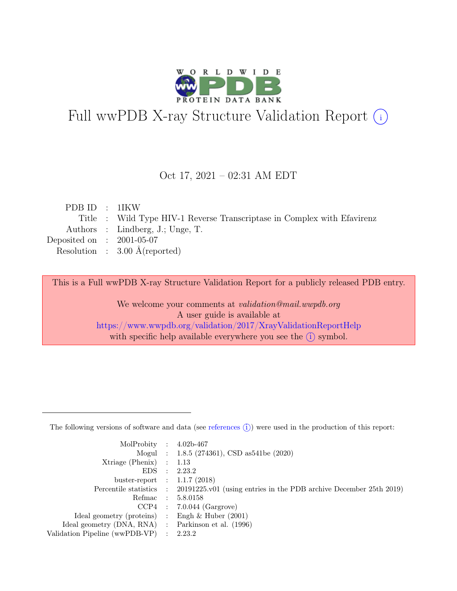

# Full wwPDB X-ray Structure Validation Report  $(i)$

#### Oct 17, 2021 – 02:31 AM EDT

| PDBID : 1IKW                |                                                                         |
|-----------------------------|-------------------------------------------------------------------------|
|                             | Title : Wild Type HIV-1 Reverse Transcriptase in Complex with Efavirenz |
|                             | Authors : Lindberg, J.; Unge, T.                                        |
| Deposited on : $2001-05-07$ |                                                                         |
|                             | Resolution : $3.00 \text{ Å}$ (reported)                                |
|                             |                                                                         |

This is a Full wwPDB X-ray Structure Validation Report for a publicly released PDB entry.

We welcome your comments at validation@mail.wwpdb.org A user guide is available at <https://www.wwpdb.org/validation/2017/XrayValidationReportHelp> with specific help available everywhere you see the  $(i)$  symbol.

The following versions of software and data (see [references](https://www.wwpdb.org/validation/2017/XrayValidationReportHelp#references)  $(i)$ ) were used in the production of this report:

| MolProbity : $4.02b-467$                            |                                                                                            |
|-----------------------------------------------------|--------------------------------------------------------------------------------------------|
|                                                     | Mogul : $1.8.5$ (274361), CSD as 541be (2020)                                              |
| $Xtriangle (Phenix)$ : 1.13                         |                                                                                            |
|                                                     | EDS : 2.23.2                                                                               |
| buster-report : $1.1.7$ (2018)                      |                                                                                            |
|                                                     | Percentile statistics : 20191225.v01 (using entries in the PDB archive December 25th 2019) |
|                                                     | Refmac : 5.8.0158                                                                          |
|                                                     | $CCP4$ : 7.0.044 (Gargrove)                                                                |
| Ideal geometry (proteins) : Engh $\&$ Huber (2001)  |                                                                                            |
| Ideal geometry (DNA, RNA) : Parkinson et al. (1996) |                                                                                            |
| Validation Pipeline (wwPDB-VP) : 2.23.2             |                                                                                            |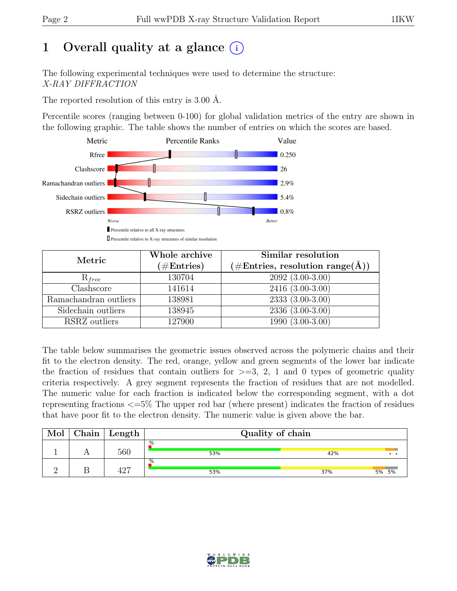# 1 Overall quality at a glance  $(i)$

The following experimental techniques were used to determine the structure: X-RAY DIFFRACTION

The reported resolution of this entry is 3.00 Å.

Percentile scores (ranging between 0-100) for global validation metrics of the entry are shown in the following graphic. The table shows the number of entries on which the scores are based.



| Metric                | Whole archive<br>$(\#Entries)$ | Similar resolution<br>$(\# \text{Entries}, \text{ resolution } \text{range}(\AA))$ |  |  |  |
|-----------------------|--------------------------------|------------------------------------------------------------------------------------|--|--|--|
| $R_{free}$            | 130704                         | $2092(3.00-3.00)$                                                                  |  |  |  |
| Clashscore            | 141614                         | $2416(3.00-3.00)$                                                                  |  |  |  |
| Ramachandran outliers | 138981                         | $\overline{2333}$ $\overline{(3.00-3.00)}$                                         |  |  |  |
| Sidechain outliers    | 138945                         | $2336(3.00-3.00)$                                                                  |  |  |  |
| RSRZ outliers         | 127900                         | $1990(3.00-3.00)$                                                                  |  |  |  |

The table below summarises the geometric issues observed across the polymeric chains and their fit to the electron density. The red, orange, yellow and green segments of the lower bar indicate the fraction of residues that contain outliers for  $\geq$ =3, 2, 1 and 0 types of geometric quality criteria respectively. A grey segment represents the fraction of residues that are not modelled. The numeric value for each fraction is indicated below the corresponding segment, with a dot representing fractions <=5% The upper red bar (where present) indicates the fraction of residues that have poor fit to the electron density. The numeric value is given above the bar.

| Mol | ${\rm Chain}$ | Length | Quality of chain |              |  |  |  |  |
|-----|---------------|--------|------------------|--------------|--|--|--|--|
|     |               | 560    | .%<br>53%        | 42%          |  |  |  |  |
|     |               | 197    | .%<br>53%        | 5% 5%<br>37% |  |  |  |  |

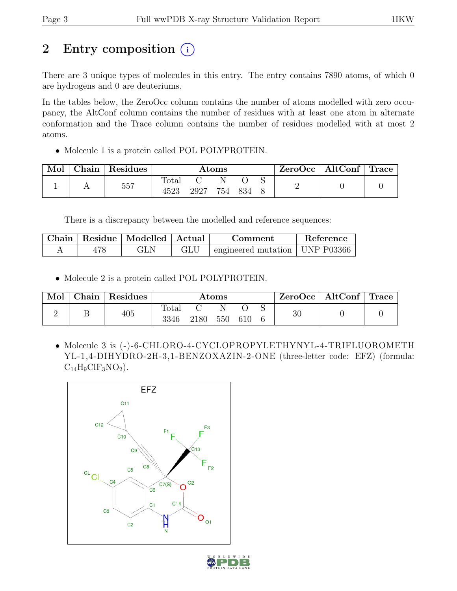# 2 Entry composition  $(i)$

There are 3 unique types of molecules in this entry. The entry contains 7890 atoms, of which 0 are hydrogens and 0 are deuteriums.

In the tables below, the ZeroOcc column contains the number of atoms modelled with zero occupancy, the AltConf column contains the number of residues with at least one atom in alternate conformation and the Trace column contains the number of residues modelled with at most 2 atoms.

• Molecule 1 is a protein called POL POLYPROTEIN.

| Mol | Chain   Residues | $\rm{Atoms}$           |      |     |       |  | $ZeroOcc \mid AltConf \mid Trace$ |  |
|-----|------------------|------------------------|------|-----|-------|--|-----------------------------------|--|
|     | 557              | $\text{Total}$<br>4523 | 2927 | 754 | - 834 |  |                                   |  |

There is a discrepancy between the modelled and reference sequences:

| Chain | Residue   Modelled   Actual |  | Comment                                          | Reference |
|-------|-----------------------------|--|--------------------------------------------------|-----------|
|       |                             |  | $\pm$ engineered mutation $\pm$ UNP P03366 $\pm$ |           |

• Molecule 2 is a protein called POL POLYPROTEIN.

| Mol | Chain | <sup>'</sup> Residues | $\rm{Atoms}$  |      |     |     |  | $\text{ZeroOcc} \mid \text{AltConf} \mid \text{Trace}$ |  |
|-----|-------|-----------------------|---------------|------|-----|-----|--|--------------------------------------------------------|--|
|     |       | 405                   | Total<br>3346 | 2180 | 550 | 610 |  | 30                                                     |  |

• Molecule 3 is (-)-6-CHLORO-4-CYCLOPROPYLETHYNYL-4-TRIFLUOROMETH YL-1,4-DIHYDRO-2H-3,1-BENZOXAZIN-2-ONE (three-letter code: EFZ) (formula:  $C_{14}H_9ClF_3NO_2$ .



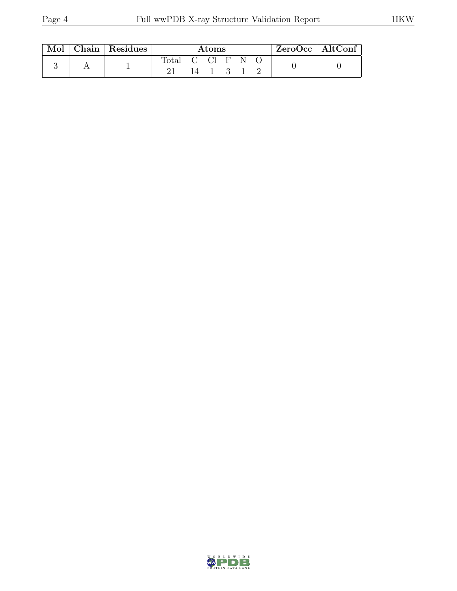| Mol | Chain   Residues | Atoms |    |      |      |   | $ZeroOcc$   AltConf |  |  |
|-----|------------------|-------|----|------|------|---|---------------------|--|--|
|     |                  | Total | 14 | CCI. | — н' | N |                     |  |  |

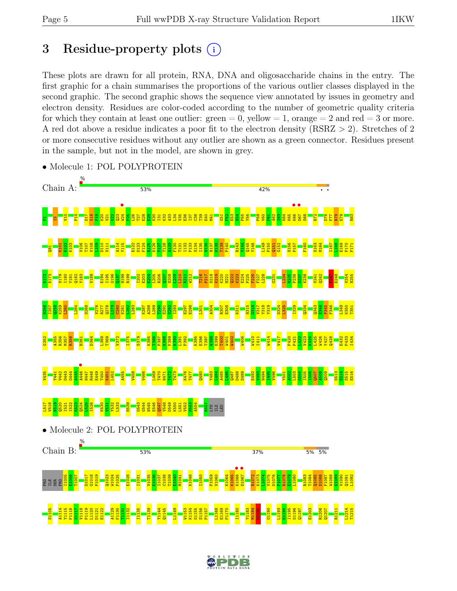# 3 Residue-property plots  $(i)$

These plots are drawn for all protein, RNA, DNA and oligosaccharide chains in the entry. The first graphic for a chain summarises the proportions of the various outlier classes displayed in the second graphic. The second graphic shows the sequence view annotated by issues in geometry and electron density. Residues are color-coded according to the number of geometric quality criteria for which they contain at least one outlier:  $green = 0$ , yellow  $= 1$ , orange  $= 2$  and red  $= 3$  or more. A red dot above a residue indicates a poor fit to the electron density (RSRZ > 2). Stretches of 2 or more consecutive residues without any outlier are shown as a green connector. Residues present in the sample, but not in the model, are shown in grey.



• Molecule 1: POL POLYPROTEIN



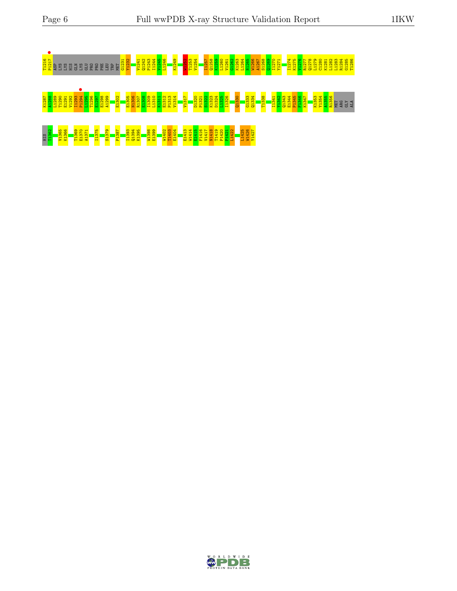

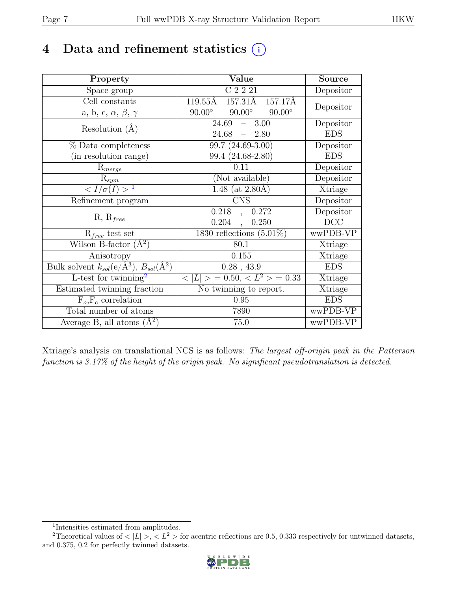# 4 Data and refinement statistics  $(i)$

| Property                                                             | Value                                           | Source     |
|----------------------------------------------------------------------|-------------------------------------------------|------------|
| Space group                                                          | C2221                                           | Depositor  |
| Cell constants                                                       | 157.31Å<br>119.55Å<br>157.17Å                   |            |
| a, b, c, $\alpha$ , $\beta$ , $\gamma$                               | $90.00^\circ$<br>$90.00^\circ$<br>$90.00^\circ$ | Depositor  |
| Resolution $(A)$                                                     | 24.69<br>3.00<br>$\frac{1}{2}$                  | Depositor  |
|                                                                      | 24.68<br>$-2.80$                                | <b>EDS</b> |
| % Data completeness                                                  | 99.7 (24.69-3.00)                               | Depositor  |
| (in resolution range)                                                | 99.4 (24.68-2.80)                               | <b>EDS</b> |
| $R_{merge}$                                                          | 0.11                                            | Depositor  |
| $\mathrm{R}_{sym}$                                                   | (Not available)                                 | Depositor  |
| $\langle I/\sigma(I) \rangle$ <sup>1</sup>                           | 1.48 (at $2.80\text{\AA}$ )                     | Xtriage    |
| Refinement program                                                   | <b>CNS</b>                                      | Depositor  |
|                                                                      | 0.218<br>0.272<br>$\overline{\phantom{a}}$      | Depositor  |
| $R, R_{free}$                                                        | 0.204<br>0.250                                  | DCC        |
| $R_{free}$ test set                                                  | 1830 reflections $(5.01\%)$                     | wwPDB-VP   |
| Wilson B-factor $(A^2)$                                              | 80.1                                            | Xtriage    |
| Anisotropy                                                           | 0.155                                           | Xtriage    |
| Bulk solvent $k_{sol}(e/\mathring{A}^3)$ , $B_{sol}(\mathring{A}^2)$ | $0.28$ , 43.9                                   | <b>EDS</b> |
| L-test for $\mathrm{twinning}^2$                                     | $< L >$ = 0.50, $< L^2 >$ = 0.33                | Xtriage    |
| Estimated twinning fraction                                          | No twinning to report.                          | Xtriage    |
| $\overline{F_o,F_c}$ correlation                                     | 0.95                                            | <b>EDS</b> |
| Total number of atoms                                                | 7890                                            | wwPDB-VP   |
| Average B, all atoms $(A^2)$                                         | 75.0                                            | wwPDB-VP   |

Xtriage's analysis on translational NCS is as follows: The largest off-origin peak in the Patterson function is 3.17% of the height of the origin peak. No significant pseudotranslation is detected.

<sup>&</sup>lt;sup>2</sup>Theoretical values of  $\langle |L| \rangle$ ,  $\langle L^2 \rangle$  for acentric reflections are 0.5, 0.333 respectively for untwinned datasets, and 0.375, 0.2 for perfectly twinned datasets.



<span id="page-6-1"></span><span id="page-6-0"></span><sup>1</sup> Intensities estimated from amplitudes.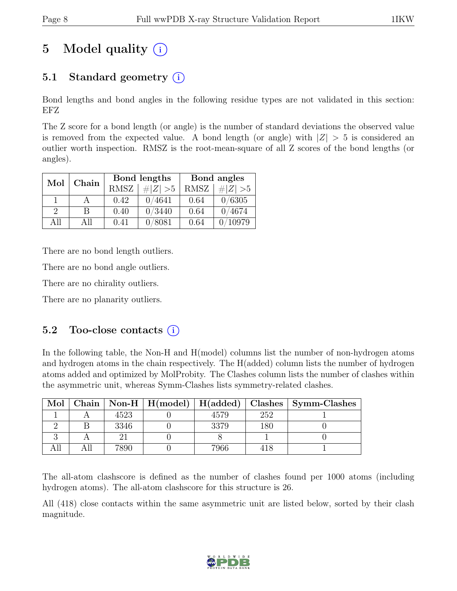# 5 Model quality  $(i)$

# 5.1 Standard geometry  $(i)$

Bond lengths and bond angles in the following residue types are not validated in this section: EFZ

The Z score for a bond length (or angle) is the number of standard deviations the observed value is removed from the expected value. A bond length (or angle) with  $|Z| > 5$  is considered an outlier worth inspection. RMSZ is the root-mean-square of all Z scores of the bond lengths (or angles).

| Mol           | Chain |             | Bond lengths | Bond angles |             |  |
|---------------|-------|-------------|--------------|-------------|-------------|--|
|               |       | <b>RMSZ</b> | $\# Z  > 5$  | <b>RMSZ</b> | # $ Z  > 5$ |  |
|               |       | 0.42        | 0/4641       | 0.64        | 0/6305      |  |
| $\mathcal{P}$ | B.    | 0.40        | 0/3440       | 0.64        | 0/4674      |  |
| All           | All   | 0.41        | 0/8081       | 0.64        | '10979      |  |

There are no bond length outliers.

There are no bond angle outliers.

There are no chirality outliers.

There are no planarity outliers.

### 5.2 Too-close contacts  $(i)$

In the following table, the Non-H and H(model) columns list the number of non-hydrogen atoms and hydrogen atoms in the chain respectively. The H(added) column lists the number of hydrogen atoms added and optimized by MolProbity. The Clashes column lists the number of clashes within the asymmetric unit, whereas Symm-Clashes lists symmetry-related clashes.

| Mol | ${\bf Chain}$ |      |      |     | $\mid$ Non-H $\mid$ H(model) $\mid$ H(added) $\mid$ Clashes $\mid$ Symm-Clashes |
|-----|---------------|------|------|-----|---------------------------------------------------------------------------------|
|     |               | 4523 | 4579 | 252 |                                                                                 |
|     |               | 3346 | 3379 | 180 |                                                                                 |
|     |               |      |      |     |                                                                                 |
|     |               | 7890 | 7966 |     |                                                                                 |

The all-atom clashscore is defined as the number of clashes found per 1000 atoms (including hydrogen atoms). The all-atom clashscore for this structure is 26.

All (418) close contacts within the same asymmetric unit are listed below, sorted by their clash magnitude.

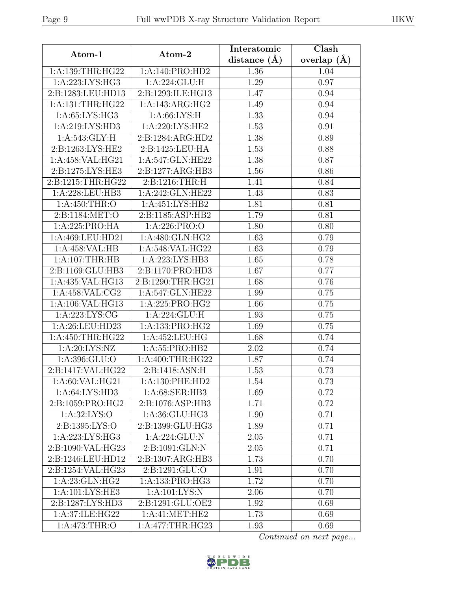| Atom-1               | Atom-2                                | Interatomic<br>distance $(\AA)$ | Clash                   |
|----------------------|---------------------------------------|---------------------------------|-------------------------|
| 1:A:139:THR:HG22     | 1:A:140:PRO:HD2                       | 1.36                            | overlap $(\AA)$<br>1.04 |
| 1: A:223: LYS: HG3   | 1:A:224:GLU:H                         | 1.29                            | 0.97                    |
| 2:B:1283:LEU:HD13    | 2:B:1293:ILE:HG13                     | 1.47                            | 0.94                    |
| 1:A:131:THR:HG22     | 1:A:143:ARG:HG2                       | 1.49                            | 0.94                    |
| 1:A:65:LYS:HG3       | 1: A:66: LYS:H                        | 1.33                            | 0.94                    |
| 1:A:219:LYS:HD3      | 1: A:220: LYS: HE2                    | 1.53                            | 0.91                    |
| 1: A:543: GLY: H     | 2:B:1284:ARG:HD2                      | 1.38                            | 0.89                    |
| 2: B: 1263: LYS: HE2 | $2:B:1425:\overline{\textrm{LEU:HA}}$ | 1.53                            | 0.88                    |
| 1:A:458:VAL:HG21     | 1:A:547:GLN:HE22                      | 1.38                            | 0.87                    |
| 2:B:1275:LYS:HE3     | 2:B:1277:ARG:HB3                      | 1.56                            | 0.86                    |
| 2:B:1215:THR:HG22    | 2:B:1216:THR:H                        | 1.41                            | 0.84                    |
| 1:A:228:LEU:HB3      | 1:A:242:GLN:HE22                      | 1.43                            | 0.83                    |
| 1: A:450:THR:O       | 1:A:451:LYS:HB2                       | 1.81                            | 0.81                    |
| 2:B:1184:MET:O       | 2:B:1185:ASP:HB2                      | 1.79                            | 0.81                    |
| 1:A:225:PRO:HA       | 1:A:226:PRO:O                         | 1.80                            | 0.80                    |
| 1:A:469:LEU:HD21     | 1: A:480: GLN: HG2                    | 1.63                            | 0.79                    |
| 1:A:458:VAL:HB       | 1:A:548:VAL:HG22                      | 1.63                            | 0.79                    |
| 1:A:107:THR:HB       | 1:A:223:LYS:HB3                       | 1.65                            | 0.78                    |
| 2:B:1169:GLU:HB3     | 2:B:1170:PRO:HD3                      | 1.67                            | 0.77                    |
| 1:A:435:VAL:HG13     | 2:B:1290:THR:HG21                     | 1.68                            | 0.76                    |
| 1:A:458:VAL:CG2      | 1:A:547:GLN:HE22                      | 1.99                            | 0.75                    |
| 1:A:106:VAL:HG13     | 1:A:225:PRO:HG2                       | 1.66                            | 0.75                    |
| 1: A:223: LYS: CG    | 1:A:224:GLU:H                         | 1.93                            | 0.75                    |
| 1:A:26:LEU:HD23      | 1:A:133:PRO:HG2                       | 1.69                            | 0.75                    |
| 1:A:450:THR:HG22     | 1: A: 452: LEU: HG                    | 1.68                            | 0.74                    |
| 1: A:20: LYS: NZ     | 1:A:55:PRO:HB2                        | 2.02                            | 0.74                    |
| 1:A:396:GLU:O        | 1: A:400:THR:HG22                     | 1.87                            | 0.74                    |
| 2:B:1417:VAL:HG22    | 2:B:1418:ASN:H                        | 1.53                            | 0.73                    |
| 1: A:60: VAL: HG21   | 1: A: 130: PHE: HD2                   | 1.54                            | 0.73                    |
| 1:A:64:LYS:HD3       | 1:A:68:SER:HB3                        | 1.69                            | 0.72                    |
| 2:B:1059:PRO:HG2     | 2:B:1076:ASP:HB3                      | 1.71                            | 0.72                    |
| 1: A:32: LYS:O       | 1:A:36:GLU:HG3                        | 1.90                            | 0.71                    |
| 2:B:1395:LYS:O       | 2:B:1399:GLU:HG3                      | 1.89                            | 0.71                    |
| 1:A:223:LYS:HG3      | 1:A:224:GLU:N                         | $2.05\,$                        | 0.71                    |
| 2:B:1090:VAL:HG23    | 2: B: 1091: GLN:N                     | 2.05                            | 0.71                    |
| 2:B:1246:LEU:HD12    | 2:B:1307:ARG:HB3                      | 1.73                            | 0.70                    |
| 2:B:1254:VAL:HG23    | 2: B: 1291: GLU:O                     | 1.91                            | 0.70                    |
| 1:A:23:GLN:HG2       | 1:A:133:PRO:HG3                       | 1.72                            | 0.70                    |
| 1:A:101:LYS:HE3      | 1: A: 101: LYS: N                     | 2.06                            | 0.70                    |
| 2:B:1287:LYS:HD3     | 2:B:1291:GLU:OE2                      | 1.92                            | 0.69                    |
| 1:A:37:ILE:HG22      | $1:A:41:MET:\overline{HE2}$           | 1.73                            | 0.69                    |
| 1:A:473:THR:O        | 1:A:477:THR:HG23                      | 1.93                            | 0.69                    |

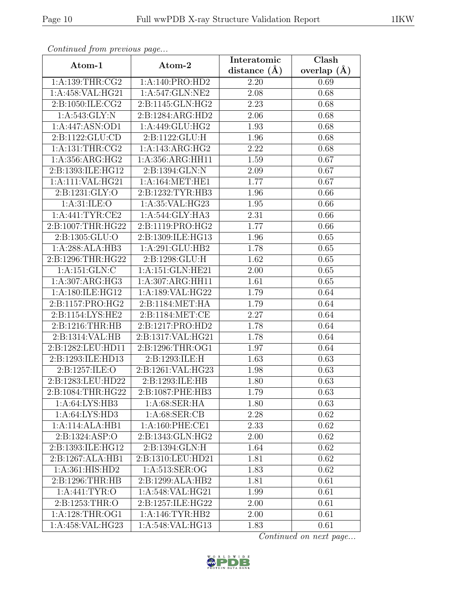| Continuation procession pugo |                    | Interatomic      | Clash           |
|------------------------------|--------------------|------------------|-----------------|
| Atom-1                       | Atom-2             | distance $(\AA)$ | overlap $(\AA)$ |
| 1: A: 139: THR: CG2          | 1:A:140:PRO:HD2    | 2.20             | 0.69            |
| 1:A:458:VAL:HG21             | 1:A:547:GLN:NE2    | 2.08             | 0.68            |
| 2:B:1050:ILE:CG2             | 2:B:1145:GLN:HG2   | 2.23             | 0.68            |
| 1:A:543:GLY:N                | 2:B:1284:ARG:HD2   | 2.06             | 0.68            |
| 1:A:447:ASN:OD1              | 1:A:449:GLU:HG2    | 1.93             | 0.68            |
| 2:B:1122:GLU:CD              | 2:B:1122:GLU:H     | 1.96             | 0.68            |
| 1: A: 131: THR: CG2          | 1:A:143:ARG:HG2    | 2.22             | 0.68            |
| 1:A:356:ARG:HG2              | 1:A:356:ARG:HH11   | 1.59             | 0.67            |
| 2:B:1393:ILE:HG12            | 2:B:1394:GLN:N     | 2.09             | 0.67            |
| 1:A:111:VAL:HG21             | 1: A:164:MET:HE1   | 1.77             | 0.67            |
| 2:B:1231:GLY:O               | 2:B:1232:TYR:HB3   | 1.96             | 0.66            |
| 1:A:31:ILE:O                 | 1:A:35:VAL:HG23    | 1.95             | 0.66            |
| 1: A:441: TYR: CE2           | 1:A:544:GLY:HA3    | 2.31             | 0.66            |
| 2:B:1007:THR:HG22            | 2:B:1119:PRO:HG2   | 1.77             | 0.66            |
| 2:B:1305:GLU:O               | 2:B:1309:ILE:HG13  | 1.96             | 0.65            |
| 1:A:288:ALA:HB3              | 1:A:291:GLU:HB2    | 1.78             | 0.65            |
| 2:B:1296:THR:HG22            | 2: B: 1298: GLU: H | 1.62             | 0.65            |
| 1:A:151:GLN:C                | 1:A:151:GLN:HE21   | 2.00             | 0.65            |
| 1:A:307:ARG:HG3              | 1:A:307:ARG:HH11   | 1.61             | 0.65            |
| 1:A:180:ILE:HG12             | 1:A:189:VAL:HG22   | 1.79             | 0.64            |
| 2:B:1157:PRO:HG2             | 2:B:1184:MET:HA    | 1.79             | 0.64            |
| 2:B:1154:LYS:HE2             | 2:B:1184:MET:CE    | 2.27             | 0.64            |
| 2:B:1216:THR:HB              | 2:B:1217:PRO:HD2   | 1.78             | 0.64            |
| 2:B:1314:VAL:HB              | 2:B:1317:VAL:HG21  | 1.78             | 0.64            |
| 2:B:1282:LEU:HD11            | 2:B:1296:THR:OG1   | 1.97             | 0.64            |
| 2:B:1293:ILE:HD13            | 2:B:1293:ILE:H     | 1.63             | 0.63            |
| 2:B:1257:ILE:O               | 2:B:1261:VAL:HG23  | 1.98             | 0.63            |
| 2:B:1283:LEU:HD22            | 2:B:1293:ILE:HB    | 1.80             | 0.63            |
| 2:B:1084:THR:HG22            | 2:B:1087:PHE:HB3   | 1.79             | 0.63            |
| 1:A:64:LYS:HB3               | 1:A:68:SER:HA      | 1.80             | 0.63            |
| 1: A:64: LYS:HD3             | 1: A:68: SER:CB    | 2.28             | 0.62            |
| 1:A:114:ALA:HB1              | 1: A:160: PHE:CE1  | 2.33             | 0.62            |
| 2:B:1324:ASP:O               | 2:B:1343:GLN:HG2   | 2.00             | 0.62            |
| 2:B:1393:ILE:HG12            | 2:B:1394:GLN:H     | 1.64             | 0.62            |
| 2:B:1267:ALA:HB1             | 2:B:1310:LEU:HD21  | 1.81             | 0.62            |
| 1: A:361: HIS: HD2           | 1:A:513:SER:OG     | 1.83             | 0.62            |
| 2:B:1296:THR:HB              | 2:B:1299:ALA:HB2   | 1.81             | 0.61            |
| 1: A:441: TYR:O              | 1:A:548:VAL:HG21   | 1.99             | 0.61            |
| 2:B:1253:THR:O               | 2:B:1257:ILE:HG22  | 2.00             | 0.61            |
| 1: A:128:THR:OG1             | 1: A:146: TYR: HB2 | 2.00             | 0.61            |
| 1:A:458:VAL:HG23             | 1:A:548:VAL:HG13   | 1.83             | 0.61            |

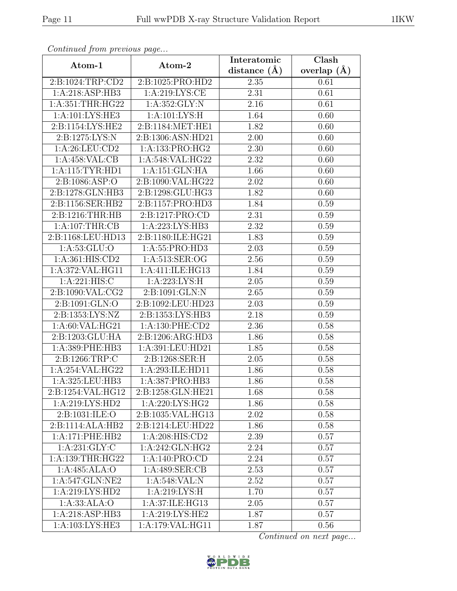|                                                     |                     | Interatomic    | Clash         |
|-----------------------------------------------------|---------------------|----------------|---------------|
| Atom-1                                              | Atom-2              | distance $(A)$ | overlap $(A)$ |
| 2:B:1024:TRP:CD2                                    | 2:B:1025:PRO:HD2    | 2.35           | 0.61          |
| 1:A:218:ASP:HB3                                     | 1: A:219: LYS:CE    | 2.31           | 0.61          |
| $1:\overline{A}:351:\overline{THR}:\overline{H}G22$ | 1: A: 352: GLY: N   | 2.16           | 0.61          |
| 1:A:101:LYS:HE3                                     | 1: A: 101: LYS: H   | 1.64           | 0.60          |
| 2:B:1154:LYS:HE2                                    | 2:B:1184:MET:HE1    | 1.82           | 0.60          |
| 2:B:1275:LYS:N                                      | 2:B:1306:ASN:HD21   | 2.00           | 0.60          |
| 1:A:26:LEU:CD2                                      | 1:A:133:PRO:HG2     | 2.30           | 0.60          |
| 1:A:458:VAL:CB                                      | 1:A:548:VAL:HG22    | 2.32           | 0.60          |
| 1: A:115: TYR: HD1                                  | 1:A:151:GLN:HA      | 1.66           | 0.60          |
| 2:B:1086:ASP:O                                      | 2:B:1090:VAL:HG22   | 2.02           | 0.60          |
| 2:B:1278:GLN:HB3                                    | 2:B:1298:GLU:HG3    | 1.82           | 0.60          |
| 2:B:1156:SER:HB2                                    | 2:B:1157:PRO:HD3    | 1.84           | 0.59          |
| 2:B:1216:THR:HB                                     | 2:B:1217:PRO:CD     | 2.31           | 0.59          |
| 1:A:107:THR:CB                                      | 1: A:223: LYS: HB3  | 2.32           | 0.59          |
| 2:B:1168:LEU:HD13                                   | 2:B:1180:ILE:HG21   | 1.83           | 0.59          |
| 1: A: 53: GLU: O                                    | 1: A: 55: PRO: HD3  | 2.03           | 0.59          |
| 1: A:361: HIS: CD2                                  | 1: A:513: SER:OG    | 2.56           | 0.59          |
| 1:A:372:VAL:HG11                                    | 1:A:411:ILE:HG13    | 1.84           | 0.59          |
| 1: A:221: HIS: C                                    | 1: A:223: LYS:H     | 2.05           | 0.59          |
| 2:B:1090:VAL:CG2                                    | 2:B:1091:GLN:N      | 2.65           | 0.59          |
| 2:B:1091:GLN:O                                      | 2:B:1092:LEU:HD23   | 2.03           | 0.59          |
| 2:B:1353:LYS:NZ                                     | 2:B:1353:LYS:HB3    | 2.18           | 0.59          |
| 1: A:60: VAL: HG21                                  | 1: A: 130: PHE: CD2 | 2.36           | 0.58          |
| 2:B:1203:GLU:HA                                     | 2:B:1206:ARG:HD3    | 1.86           | 0.58          |
| 1:A:389:PHE:HB3                                     | 1:A:391:LEU:HD21    | 1.85           | 0.58          |
| 2:B:1266:TRP:C                                      | 2:B:1268:SER:H      | $2.05\,$       | 0.58          |
| 1:A:254:VAL:HG22                                    | 1:A:293:ILE:HD11    | 1.86           | 0.58          |
| 1:A:325:LEU:HB3                                     | 1:A:387:PRO:HB3     | 1.86           | 0.58          |
| 2:B:1254:VAL:HG12                                   | 2:B:1258:GLN:HE21   | 1.68           | 0.58          |
| 1:A:219:LYS:HD2                                     | 1:A:220:LYS:HG2     | 1.86           | 0.58          |
| 2: B: 1031: ILE: O                                  | 2:B:1035:VAL:HG13   | 2.02           | 0.58          |
| 2:B:1114:ALA:HB2                                    | 2:B:1214:LEU:HD22   | 1.86           | 0.58          |
| 1:A:171:PHE:HB2                                     | 1: A:208: HIS:CD2   | 2.39           | 0.57          |
| 1:A:231:GLY:C                                       | 1:A:242:GLN:HG2     | 2.24           | 0.57          |
| 1:A:139:THR:HG22                                    | 1:A:140:PRO:CD      | 2.24           | 0.57          |
| 1:A:485:ALA:O                                       | 1:A:489:SER:CB      | 2.53           | 0.57          |
| 1:A:547:GLN:NE2                                     | 1:A:548:VAL:N       | 2.52           | 0.57          |
| $1:A:219:LYS:H\overline{D2}$                        | 1: A:219: LYS:H     | 1.70           | 0.57          |
| 1:A:33:ALA:O                                        | 1:A:37:ILE:HG13     | $2.05\,$       | 0.57          |
| 1:A:218:ASP:HB3                                     | 1:A:219:LYS:HE2     | 1.87           | 0.57          |
| 1:A:103:LYS:HE3                                     | 1:A:179:VAL:HG11    | 1.87           | 0.56          |

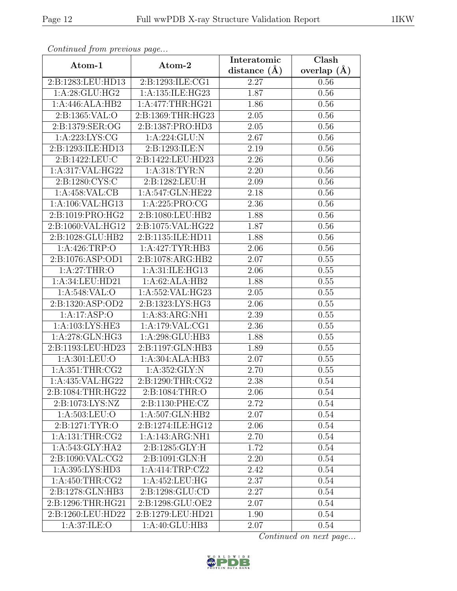| $\sim$ <i>ontentaca from precious page</i> |                    | Interatomic      | $\overline{\text{Clash}}$ |
|--------------------------------------------|--------------------|------------------|---------------------------|
| Atom-1                                     | Atom-2             | distance $(\AA)$ | overlap $(A)$             |
| 2:B:1283:LEU:HD13                          | 2:B:1293:ILE:CG1   | 2.27             | 0.56                      |
| 1: A:28: GLU:HG2                           | 1:A:135:ILE:HG23   | 1.87             | 0.56                      |
| 1:A:446:ALA:HB2                            | 1:A:477:THR:HG21   | 1.86             | 0.56                      |
| 2:B:1365:VAL:O                             | 2:B:1369:THR:HG23  | 2.05             | 0.56                      |
| 2:B:1379:SER:OG                            | 2:B:1387:PRO:HD3   | $2.05\,$         | $0.56\,$                  |
| 1: A:223: LYS: CG                          | 1:A:224:GLU:N      | 2.67             | 0.56                      |
| 2:B:1293:ILE:HD13                          | 2:B:1293:ILE:N     | 2.19             | $0.56\,$                  |
| 2:B:1422:LEU:C                             | 2:B:1422:LEU:HD23  | 2.26             | 0.56                      |
| 1:A:317:VAL:HG22                           | 1: A:318: TYR: N   | 2.20             | 0.56                      |
| 2:B:1280:CYS:C                             | 2:B:1282:LEU:H     | 2.09             | 0.56                      |
| 1:A:458:VAL:CB                             | 1:A:547:GLN:HE22   | 2.18             | 0.56                      |
| 1:A:106:VAL:HG13                           | 1:A:225:PRO:CG     | 2.36             | 0.56                      |
| 2:B:1019:PRO:HG2                           | 2:B:1080:LEU:HB2   | 1.88             | 0.56                      |
| 2:B:1060:VAL:HG12                          | 2:B:1075:VAL:HG22  | 1.87             | 0.56                      |
| 2:B:1028:GLU:HB2                           | 2:B:1135:ILE:HD11  | 1.88             | 0.56                      |
| 1: A:426:TRP:O                             | 1:A:427:TYR:HB3    | 2.06             | 0.56                      |
| 2:B:1076:ASP:OD1                           | 2:B:1078:ARG:HB2   | 2.07             | 0.55                      |
| 1:A:27:THR:O                               | 1: A:31: ILE: HG13 | 2.06             | 0.55                      |
| 1:A:34:LEU:HD21                            | 1:A:62:ALA:HB2     | 1.88             | 0.55                      |
| 1: A:548: VAL:O                            | 1:A:552:VAL:HG23   | 2.05             | 0.55                      |
| 2:B:1320:ASP:OD2                           | 2:B:1323:LYS:HG3   | 2.06             | 0.55                      |
| 1:A:17:ASP:O                               | 1:A:83:ARG:NH1     | 2.39             | 0.55                      |
| 1:A:103:LYS:HE3                            | 1:A:179:VAL:CG1    | 2.36             | 0.55                      |
| 1:A:278:GLN:HG3                            | 1:A:298:GLU:HB3    | 1.88             | 0.55                      |
| 2:B:1193:LEU:HD23                          | 2:B:1197:GLN:HB3   | 1.89             | 0.55                      |
| 1:A:301:LEU:O                              | 1:A:304:ALA:HB3    | 2.07             | 0.55                      |
| 1: A:351:THR:CG2                           | 1: A: 352: GLY:N   | 2.70             | 0.55                      |
| 1:A:435:VAL:HG22                           | 2:B:1290:THR:CG2   | 2.38             | 0.54                      |
| 2:B:1084:THR:HG22                          | 2:B:1084:THR:O     | 2.06             | 0.54                      |
| 2:B:1073:LYS:NZ                            | 2:B:1130:PHE:CZ    | 2.72             | 0.54                      |
| 1: A: 503: LEU: O                          | 1:A:507:GLN:HB2    | 2.07             | 0.54                      |
| 2:B:1271:TYR:O                             | 2:B:1274:ILE:HG12  | 2.06             | 0.54                      |
| 1: A: 131: THR: CG2                        | 1:A:143:ARG:NH1    | 2.70             | 0.54                      |
| 1:A:543:GLY:HA2                            | 2:B:1285:GLY:H     | 1.72             | 0.54                      |
| 2:B:1090:VAL:CG2                           | 2:B:1091:GLN:H     | 2.20             | 0.54                      |
| 1: A:395: LYS: HD3                         | 1:A:414:TRP:CZ2    | 2.42             | 0.54                      |
| 1: A:450:THR:CG2                           | 1:A:452:LEU:HG     | 2.37             | 0.54                      |
| 2:B:1278:GLN:HB3                           | 2:B:1298:GLU:CD    | 2.27             | 0.54                      |
| 2:B:1296:THR:HG21                          | 2:B:1298:GLU:OE2   | 2.07             | 0.54                      |
| 2:B:1260:LEU:HD22                          | 2:B:1279:LEU:HD21  | 1.90             | 0.54                      |
| $1:A:37:\overline{\text{ILE:O}}$           | 1:A:40:GLU:HB3     | 2.07             | 0.54                      |

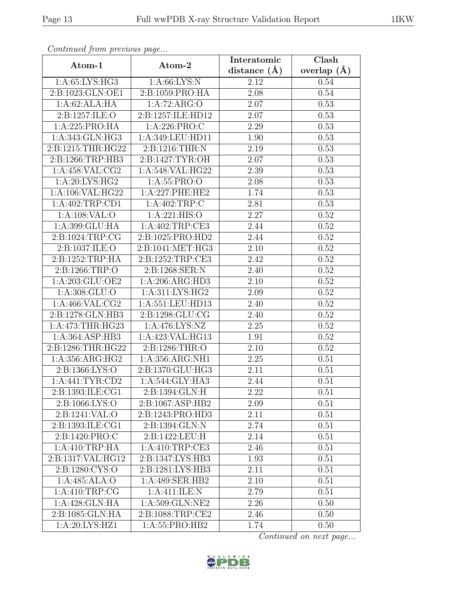| Continuation procession pugo |                     | Interatomic      | Clash           |
|------------------------------|---------------------|------------------|-----------------|
| Atom-1                       | Atom-2              | distance $(\AA)$ | overlap $(\AA)$ |
| 1:A:65:LYS:HG3               | 1: A:66: LYS: N     | 2.12             | 0.54            |
| 2:B:1023:GLN:OE1             | 2:B:1059:PRO:HA     | 2.08             | 0.54            |
| 1:A:62:ALA:HA                | 1:A:72:ARG:O        | 2.07             | 0.53            |
| 2:B:1257:ILE:O               | 2:B:1257:ILE:HD12   | 2.07             | 0.53            |
| 1:A:225:PRO:HA               | 1:A:226:PRO:C       | 2.29             | 0.53            |
| 1: A:343: GLN: HG3           | 1:A:349:LEU:HD11    | 1.90             | 0.53            |
| 2:B:1215:THR:HG22            | 2:B:1216:THR:N      | 2.19             | 0.53            |
| 2:B:1266:TRP:HB3             | 2: B: 1427: TYR: OH | 2.07             | 0.53            |
| 1:A:458:VAL:CG2              | 1:A:548:VAL:HG22    | 2.39             | 0.53            |
| 1: A:20: LYS: HG2            | 1:A:55:PRO:O        | 2.08             | 0.53            |
| 1:A:106:VAL:HG22             | 1: A:227:PHE:HE2    | 1.74             | 0.53            |
| 1:A:402:TRP:CD1              | 1:A:402:TRP:C       | 2.81             | 0.53            |
| 1:A:108:VAL:O                | 1: A:221: HIS:O     | 2.27             | 0.52            |
| 1:A:399:GLU:HA               | 1:A:402:TRP:CE3     | 2.44             | 0.52            |
| 2:B:1024:TRP:CG              | 2:B:1025:PRO:HD2    | 2.44             | 0.52            |
| 2:B:1037:ILE:O               | 2:B:1041:MET:HG3    | 2.10             | 0.52            |
| 2:B:1252:TRP:HA              | 2:B:1252:TRP:CE3    | 2.42             | 0.52            |
| 2:B:1266:TRP:O               | 2:B:1268:SER:N      | 2.40             | 0.52            |
| 1:A:203:GLU:OE2              | 1:A:206:ARG:HD3     | 2.10             | 0.52            |
| 1: A:308: GLU:O              | 1: A:311: LYS: HG2  | 2.09             | 0.52            |
| 1:A:466:VAL:CG2              | 1:A:551:LEU:HD13    | 2.40             | 0.52            |
| 2:B:1278:GLN:HB3             | 2:B:1298:GLU:CG     | 2.40             | 0.52            |
| 1:A:473:THR:HG23             | 1: A:476: LYS: NZ   | 2.25             | 0.52            |
| 1:A:364:ASP:HB3              | 1:A:423:VAL:HG13    | 1.91             | 0.52            |
| 2:B:1286:THR:HG22            | 2:B:1286:THR:O      | 2.10             | 0.52            |
| 1:A:356:ARG:HG2              | 1:A:356:ARG:NH1     | 2.25             | 0.51            |
| 2:B:1366:LYS:O               | 2:B:1370:GLU:HG3    | 2.11             | 0.51            |
| 1: A:441: TYR:CD2            | 1:A:544:GLY:HA3     | 2.44             | 0.51            |
| 2:B:1393:ILE:CG1             | 2:B:1394:GLN:H      | 2.22             | 0.51            |
| 2:B:1066:LYS:O               | 2:B:1067:ASP:HB2    | 2.09             | 0.51            |
| 2:B:1241:VAL:O               | 2:B:1243:PRO:HD3    | 2.11             | 0.51            |
| 2:B:1393:ILE:CG1             | 2:B:1394:GLN:N      | 2.74             | 0.51            |
| 2:B:1420:PRO:C               | 2:B:1422:LEU:H      | 2.14             | 0.51            |
| 1:A:410:TRP:HA               | 1:A:410:TRP:CE3     | 2.46             | 0.51            |
| 2:B:1317:VAL:HG12            | 2:B:1347:LYS:HB3    | 1.93             | 0.51            |
| 2:B:1280:CYS:O               | 2:B:1281:LYS:HB3    | 2.11             | 0.51            |
| 1:A:485:ALA:O                | 1:A:489:SER:HB2     | 2.10             | 0.51            |
| 1: A: 410: TRP: CG           | 1: A: 411: ILE:N    | 2.79             | 0.51            |
| 1:A:428:GLN:HA               | 1:A:509:GLN:NE2     | 2.26             | 0.50            |
| 2:B:1085:GLN:HA              | 2:B:1088:TRP:CE2    | 2.46             | 0.50            |
| 1:A:20:LYS:HZ1               | 1:A:55:PRO:HB2      | 1.74             | 0.50            |

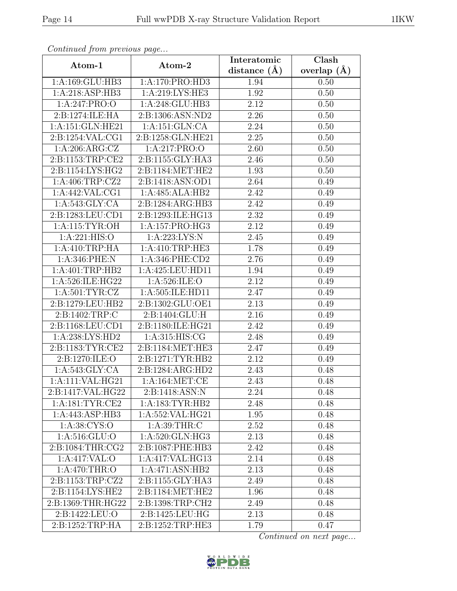| Atom-1             | $1 - 3$<br>Atom-2   | Interatomic    | Clash           |
|--------------------|---------------------|----------------|-----------------|
|                    |                     | distance $(A)$ | overlap $(\AA)$ |
| 1:A:169:GLU:HB3    | 1:A:170:PRO:HD3     | 1.94           | 0.50            |
| 1:A:218:ASP:HB3    | 1:A:219:LYS:HE3     | 1.92           | 0.50            |
| 1:A:247:PRO:O      | 1:A:248:GLU:HB3     | 2.12           | 0.50            |
| 2:B:1274:ILE:HA    | 2:B:1306:ASN:ND2    | 2.26           | 0.50            |
| 1:A:151:GLN:HE21   | 1:A:151:GLN:CA      | 2.24           | 0.50            |
| 2:B:1254:VAL:CG1   | 2:B:1258:GLN:HE21   | 2.25           | 0.50            |
| 1:A:206:ARG:CZ     | 1:A:217:PRO:O       | 2.60           | 0.50            |
| 2:B:1153:TRP:CE2   | 2:B:1155:GLY:HA3    | 2.46           | 0.50            |
| 2:B:1154:LYS:HG2   | 2:B:1184:MET:HE2    | 1.93           | 0.50            |
| 1: A:406:TRP: CZ2  | 2:B:1418:ASN:OD1    | 2.64           | 0.49            |
| 1: A:442: VAL:CG1  | 1:A:485:ALA:HB2     | 2.42           | 0.49            |
| 1: A:543: GLY:CA   | 2:B:1284:ARG:HB3    | 2.42           | 0.49            |
| 2:B:1283:LEU:CD1   | 2:B:1293:ILE:HG13   | 2.32           | 0.49            |
| 1: A:115: TYR:OH   | 1:A:157:PRO:HG3     | 2.12           | 0.49            |
| 1:A:221:HIS:O      | 1:A:223:LYS:N       | 2.45           | 0.49            |
| 1: A:410:TRP:HA    | 1: A:410:TRP:HE3    | 1.78           | 0.49            |
| 1:A:346:PHE:N      | 1:A:346:PHE:CD2     | 2.76           | 0.49            |
| 1:A:401:TRP:HB2    | 1:A:425:LEU:HD11    | 1.94           | 0.49            |
| 1:A:526:ILE:HG22   | 1: A:526: ILE: O    | 2.12           | 0.49            |
| 1: A:501: TYR: CZ  | 1:A:505:ILE:HD11    | 2.47           | 0.49            |
| 2:B:1279:LEU:HB2   | 2:B:1302:GLU:OE1    | 2.13           | 0.49            |
| 2:B:1402:TRP:C     | 2:B:1404:GLU:H      | 2.16           | 0.49            |
| 2:B:1168:LEU:CD1   | 2:B:1180:ILE:HG21   | 2.42           | 0.49            |
| 1:A:238:LYS:HD2    | 1:A:315:HIS:CG      | 2.48           | 0.49            |
| 2:B:1183:TYR:CE2   | 2:B:1184:MET:HE3    | 2.47           | 0.49            |
| 2:B:1270:ILE:O     | 2:B:1271:TYR:HB2    | 2.12           | 0.49            |
| 1: A:543: GLY:CA   | 2:Bi:1284:ARG:HD2   | 2.43           | 0.48            |
| 1:A:111:VAL:HG21   | 1: A:164: MET:CE    | 2.43           | 0.48            |
| 2:B:1417:VAL:HG22  | 2:B:1418:ASN:N      | 2.24           | 0.48            |
| 1: A:181: TYR: CE2 | 1: A: 183: TYR: HB2 | 2.48           | 0.48            |
| 1:A:443:ASP:HB3    | 1:A:552:VAL:HG21    | 1.95           | 0.48            |
| 1:A:38:CYS:O       | 1: A:39:THR:C       | 2.52           | 0.48            |
| 1: A:516: GLU:O    | 1:A:520:GLN:HG3     | 2.13           | 0.48            |
| 2:B:1084:THR:CG2   | 2:B:1087:PHE:HB3    | 2.42           | 0.48            |
| 1:A:417:VAL:O      | 1:A:417:VAL:HG13    | 2.14           | 0.48            |
| 1: A:470:THR:O     | 1:A:471:ASN:HB2     | 2.13           | 0.48            |
| 2:B:1153:TRP:CZ2   | 2:B:1155:GLY:HA3    | 2.49           | 0.48            |
| 2:B:1154:LYS:HE2   | 2:B:1184:MET:HE2    | 1.96           | 0.48            |
| 2:B:1369:THR:HG22  | 2:B:1398:TRP:CH2    | 2.49           | 0.48            |
| 2:B:1422:LEU:O     | 2:B:1425:LEU:HG     | 2.13           | 0.48            |
| 2:B:1252:TRP:HA    | 2:B:1252:TRP:HE3    | 1.79           | 0.47            |

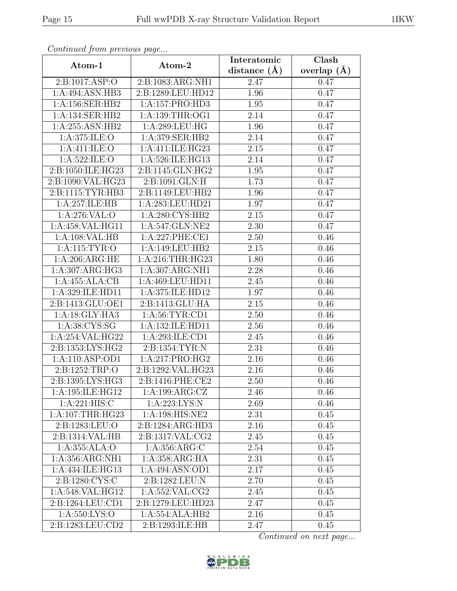| $\cdots$ $\cdots$ $\cdots$ $\cdots$ $\cdots$ $\cdots$ $\cdots$<br>Atom-1 | Atom-2              | Interatomic       | Clash         |
|--------------------------------------------------------------------------|---------------------|-------------------|---------------|
|                                                                          |                     | distance $(A)$    | overlap $(A)$ |
| 2:B:1017:ASP:O                                                           | 2:B:1083:ARG:NH1    | 2.47              | 0.47          |
| 1:A:494:ASN:HB3                                                          | 2:B:1289:LEU:HD12   | 1.96              | 0.47          |
| 1:A:156:SER:HB2                                                          | 1:A:157:PRO:HD3     | 1.95              | 0.47          |
| 1:A:134:SER:HB2                                                          | 1: A: 139: THR: OG1 | 2.14              | 0.47          |
| 1: A:255: ASN:HB2                                                        | 1:A:289:LEU:HG      | 1.96              | 0.47          |
| 1: A:375: ILE: O                                                         | 1:A:379:SER:HB2     | 2.14              | 0.47          |
| 1: A: 411: ILE: O                                                        | 1:A:411:ILE:HG23    | 2.15              | 0.47          |
| 1: A:522: ILE: O                                                         | 1:A:526:ILE:HG13    | 2.14              | 0.47          |
| 2:B:1050:ILE:HG23                                                        | 2:B:1145:GLN:HG2    | 1.95              | 0.47          |
| 2:B:1090:VAL:HG23                                                        | 2:B:1091:GLN:H      | 1.73              | 0.47          |
| 2:B:1115:TYR:HB3                                                         | 2:B:1149:LEU:HB2    | 1.96              | 0.47          |
| 1:A:257:ILE:HB                                                           | 1:A:283:LEU:HD21    | 1.97              | 0.47          |
| 1: A:276: VAL:O                                                          | 1:A:280:CYS:HB2     | 2.15              | 0.47          |
| 1:A:458:VAL:HG11                                                         | 1:A:547:GLN:NE2     | $\overline{2.30}$ | 0.47          |
| 1:A:108:VAL:HB                                                           | 1:A:227:PHE:CE1     | 2.50              | 0.46          |
| 1: A:115: TYR:O                                                          | 1:A:149:LEU:HB2     | 2.15              | 0.46          |
| 1: A:206: ARG: HE                                                        | 1:A:216:THR:HG23    | 1.80              | 0.46          |
| 1:A:307:ARG:HG3                                                          | 1:A:307:ARG:NH1     | 2.28              | 0.46          |
| 1:A:455:ALA:CB                                                           | 1:A:469:LEU:HD11    | 2.45              | 0.46          |
| 1:A:329:ILE:HD11                                                         | 1:A:375:ILE:HD12    | 1.97              | 0.46          |
| 2:B:1413:GLU:OE1                                                         | 2:B:1413:GLU:HA     | 2.15              | 0.46          |
| 1:A:18:GLY:HA3                                                           | 1: A:56: TYR:CD1    | 2.50              | 0.46          |
| 1: A:38: CYS:SG                                                          | 1:A:132:ILE:HD11    | 2.56              | 0.46          |
| 1:A:254:VAL:HG22                                                         | 1:A:293:ILE:CD1     | 2.45              | 0.46          |
| 2:B:1353:LYS:HG2                                                         | 2: B: 1354: TYR: N  | 2.31              | 0.46          |
| 1:A:110:ASP:OD1                                                          | 1:A:217:PRO:HG2     | 2.16              | 0.46          |
| 2:B:1252:TRP:O                                                           | 2:B:1292:VAL:HG23   | 2.16              | 0.46          |
| 2:B:1395:LYS:HG3                                                         | 2:B:1416:PHE:CE2    | 2.50              | 0.46          |
| 1: A:195: ILE: HG12                                                      | 1:A:199:ARG:CZ      | 2.46              | 0.46          |
| 1: A:221: HIS: C                                                         | 1: A:223: LYS: N    | 2.69              | 0.46          |
| 1: A:107:THR:HG23                                                        | $1:$ A:198:HIS:NE2  | 2.31              | 0.45          |
| 2:B:1283:LEU:O                                                           | 2:B:1284:ARG:HD3    | 2.16              | 0.45          |
| 2:B:1314:VAL:HB                                                          | 2:B:1317:VAL:CG2    | 2.45              | 0.45          |
| 1:A:355:ALA:O                                                            | 1:A:356:ARG:C       | 2.54              | 0.45          |
| 1:A:356:ARG:NH1                                                          | 1:A:358:ARG:HA      | 2.31              | 0.45          |
| 1:A:434:ILE:HG13                                                         | 1:A:494:ASN:OD1     | 2.17              | 0.45          |
| 2: B: 1280: CYS: C                                                       | 2:B:1282:LEU:N      | 2.70              | 0.45          |
| 1:A:548:VAL:HG12                                                         | 1:A:552:VAL:CG2     | 2.45              | 0.45          |
| 2:B:1264:LEU:CD1                                                         | 2:B:1279:LEU:HD23   | 2.47              | 0.45          |
| 1: A: 550: LYS: O                                                        | 1:A:554:ALA:HB2     | 2.16              | 0.45          |
| 2:B:1283:LEU:CD2                                                         | 2:B:1293:ILE:HB     | 2.47              | 0.45          |

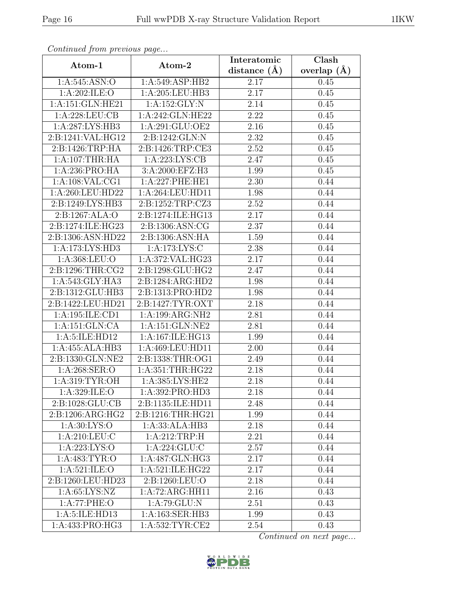| sonnanasa jionn processas pago<br>Atom-1 | Atom-2                       | Interatomic    | Clash         |
|------------------------------------------|------------------------------|----------------|---------------|
|                                          |                              | distance $(A)$ | overlap $(A)$ |
| 1:A:545:ASN:O                            | 1:A:549:ASP:HB2              | 2.17           | 0.45          |
| 1:A:202:ILE:O                            | 1:A:205:LEU:HB3              | 2.17           | 0.45          |
| 1:A:151:GLN:HE21                         | 1:A:152:GLY:N                | 2.14           | 0.45          |
| 1:A:228:LEU:CB                           | 1:A:242:GLN:HE22             | 2.22           | 0.45          |
| 1:A:287:LYS:HB3                          | 1:A:291:GLU:OE2              | 2.16           | 0.45          |
| 2:B:1241:VAL:HG12                        | 2:B:1242:GLN:N               | 2.32           | 0.45          |
| 2:B:1426:TRP:HA                          | 2:B:1426:TRP:CE3             | 2.52           | 0.45          |
| 1:A:107:THR:HA                           | 1: A:223: LYS: CB            | 2.47           | 0.45          |
| 1:A:236:PRO:HA                           | 3:A:2000:EFZ:H3              | 1.99           | 0.45          |
| 1: A:108: VAL:CG1                        | 1:A:227:PHE:HE1              | 2.30           | 0.44          |
| 1:A:260:LEU:HD22                         | 1:A:264:LEU:HD11             | 1.98           | 0.44          |
| 2:B:1249:LYS:HB3                         | 2:B:1252:TRP:CZ3             | 2.52           | 0.44          |
| 2:B:1267:ALA:O                           | 2:B:1274:ILE:HG13            | 2.17           | 0.44          |
| 2:B:1274:ILE:HG23                        | 2: B: 1306: ASN: CG          | 2.37           | 0.44          |
| 2:B:1306:ASN:HD22                        | 2:B:1306:ASN:HA              | 1.59           | 0.44          |
| 1:A:173:LYS:HD3                          | $1:$ A:173:LYS:C             | 2.38           | 0.44          |
| 1:A:368:LEU:O                            | 1: A:372:VAL:HG23            | 2.17           | 0.44          |
| 2:B:1296:THR:CG2                         | 2:B:1298:GLU:HG2             | 2.47           | 0.44          |
| 1:A:543:GLY:HA3                          | 2:B:1284:ARG:HD2             | 1.98           | 0.44          |
| 2:B:1312:GLU:HB3                         | 2:B:1313:PRO:HD2             | 1.98           | 0.44          |
| 2:B:1422:LEU:HD21                        | 2:B:1427:TYR:OXT             | 2.18           | 0.44          |
| 1:A:195:ILE:CD1                          | 1:A:199:ARG:NH2              | 2.81           | 0.44          |
| 1:A:151:GLN:CA                           | 1:A:151:GLN:NE2              | 2.81           | 0.44          |
| 1:A:5:ILE:HD12                           | 1:A:167:ILE:HG13             | 1.99           | 0.44          |
| 1:A:455:ALA:HB3                          | 1:A:469:LEU:HD11             | 2.00           | 0.44          |
| 2:B:1330:GLN:NE2                         | 2:B:1338:THR:OG1             | 2.49           | 0.44          |
| 1: A:268: SER:O                          | 1:A:351:THR:HG22             | 2.18           | 0.44          |
| 1: A:319: TYR: OH                        | 1:A:385:LYS:HE2              | 2.18           | 0.44          |
| 1:A:329:ILE:O                            | 1:A:392:PRO:HD3              | 2.18           | 0.44          |
| 2:B:1028:GLU:CB                          | 2:B:1135:ILE:HD11            | 2.48           | 0.44          |
| $2: B: 1206: ARG: \overline{HG2}$        | 2:B:1216:THR:HG21            | 1.99           | 0.44          |
| 1: A:30: LYS:O                           | 1:A:33:ALA:HB3               | 2.18           | 0.44          |
| 1:A:210:LEU:C                            | 1:A:212:TRP:H                | 2.21           | 0.44          |
| 1: A:223: LYS:O                          | 1: A:224: GLU:C              | 2.57           | 0.44          |
| 1:A:483:TYR:O                            | 1:A:487:GLN:HG3              | 2.17           | 0.44          |
| 1: A:521: ILE: O                         | 1:A:521:ILE:HG22             | 2.17           | 0.44          |
| 2:B:1260:LEU:HD23                        | 2:B:1260:LEU:O               | 2.18           | 0.44          |
| 1: A:65: LYS:NZ                          | $1:A:72:ARG:\overline{HH11}$ | 2.16           | 0.43          |
| 1:A:77:PHE:O                             | 1:A:79:GLU:N                 | 2.51           | 0.43          |
| 1:A:5:ILE:HD13                           | 1:A:163:SER:HB3              | 1.99           | 0.43          |
| 1:A:433:PRO:HG3                          | 1:A:532:TYR:CE2              | 2.54           | 0.43          |

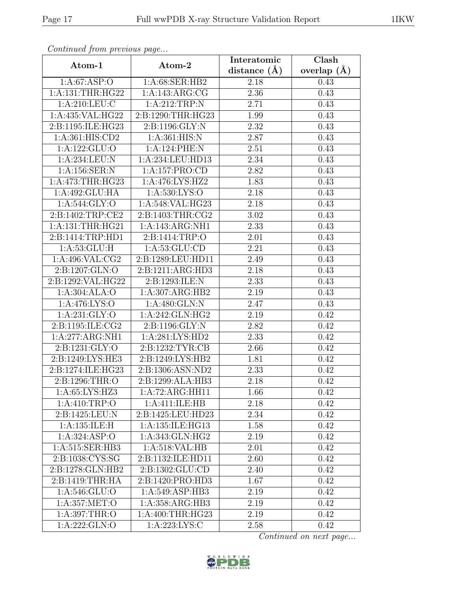| sonitive grow proces as page |                                      | Interatomic    | Clash         |
|------------------------------|--------------------------------------|----------------|---------------|
| Atom-1                       | Atom-2                               | distance $(A)$ | overlap $(A)$ |
| 1: A:67: ASP:O               | 1:A:68:SER:HB2                       | 2.18           | 0.43          |
| 1:A:131:THR:HG22             | 1:A:143:ARG:CG                       | $2.36\,$       | 0.43          |
| 1:A:210:LEU:C                | 1:A:212:TRP:N                        | 2.71           | 0.43          |
| 1:A:435:VAL:HG22             | 2:B:1290:THR:HG23                    | 1.99           | 0.43          |
| 2:B:1195:ILE:HG23            | 2: B: 1196: GLY: N                   | 2.32           | 0.43          |
| 1:A:361:HIS:CD2              | 1: A:361: HIS:N                      | 2.87           | 0.43          |
| 1:A:122:GLU:O                | 1:A:124:PHE:N                        | $2.51\,$       | 0.43          |
| 1: A:234:LEU: N              | 1:A:234:LEU:HD13                     | 2.34           | 0.43          |
| 1:A:156:SER:N                | 1:A:157:PRO:CD                       | 2.82           | 0.43          |
| 1:A:473:THR:HG23             | 1:A:476:LYS:HZ2                      | 1.83           | 0.43          |
| 1:A:492:GLU:HA               | 1:A:530:LYS:O                        | 2.18           | 0.43          |
| 1: A:544: GLY:O              | $1:A:548:\overline{\text{VAL}:HG23}$ | 2.18           | 0.43          |
| 2:B:1402:TRP:CE2             | 2:B:1403:THR:CG2                     | $3.02\,$       | 0.43          |
| 1: A: 131: THR: HG21         | 1:A:143:ARG:NH1                      | 2.33           | 0.43          |
| 2:B:1414:TRP:HD1             | 2:B:1414:TRP:O                       | 2.01           | 0.43          |
| 1: A:53: GLU: H              | 1: A: 53: GLU: CD                    | 2.21           | 0.43          |
| 1: A:496: VAL: CG2           | 2:B:1289:LEU:HD11                    | 2.49           | 0.43          |
| 2:B:1207:GLN:O               | 2:B:1211:ARG:HD3                     | 2.18           | 0.43          |
| 2:B:1292:VAL:HG22            | 2:B:1293:ILE:N                       | 2.33           | 0.43          |
| 1:A:304:ALA:O                | 1:A:307:ARG:HB2                      | 2.19           | 0.43          |
| 1: A:476: LYS:O              | 1:A:480:GLN:N                        | 2.47           | 0.43          |
| 1: A:231: GLY:O              | 1:A:242:GLN:HG2                      | 2.19           | 0.42          |
| 2:B:1195:ILE:CG2             | 2:B:1196:GLY:N                       | 2.82           | 0.42          |
| 1:A:277:ARG:NH1              | 1:A:281:LYS:HD2                      | 2.33           | 0.42          |
| 2:B:1231:GLY:O               | 2:B:1232:TYR:CB                      | 2.66           | 0.42          |
| 2:B:1249:LYS:HE3             | 2:B:1249:LYS:HB2                     | 1.81           | 0.42          |
| 2:B:1274:ILE:HG23            | 2:B:1306:ASN:ND2                     | 2.33           | 0.42          |
| 2:B:1296:THR:O               | 2:B:1299:ALA:HB3                     | 2.18           | 0.42          |
| 1:A:65:LYS:HZ3               | 1:A:72:ARG:HH11                      | 1.66           | 0.42          |
| 1:A:410:TRP:O                | 1:A:411:ILE:HB                       | 2.18           | 0.42          |
| 2:B:1425:LEU:N               | 2:B:1425:LEU:HD23                    | 2.34           | 0.42          |
| 1:A:135:ILE:H                | 1:A:135:ILE:HG13                     | 1.58           | 0.42          |
| 1: A:324: ASP:O              | 1:A:343:GLN:HG2                      | 2.19           | 0.42          |
| 1:A:515:SER:HB3              | 1: A:518: VAL:HB                     | 2.01           | 0.42          |
| 2:B:1038:CYS:SG              | 2:B:1132:ILE:HD11                    | 2.60           | 0.42          |
| 2:B:1278:GLN:HB2             | 2:B:1302:GLU:CD                      | 2.40           | 0.42          |
| 2:B:1419:THR:HA              | 2:B:1420:PRO:HD3                     | 1.67           | 0.42          |
| 1: A:546: GLU:O              | 1: A:549: ASP:HB3                    | 2.19           | 0.42          |
| 1:A:357:MET:O                | 1:A:358:ARG:HB3                      | 2.19           | 0.42          |
| 1: A:397:THR:O               | 1:A:400:THR:HG23                     | 2.19           | 0.42          |
| 1:A:222:GLN:O                | 1:A:223:LYS:C                        | 2.58           | 0.42          |

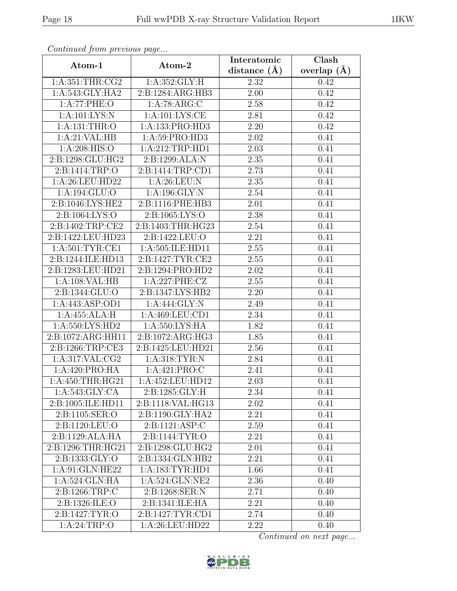| sonicated pront process as page |                    | Interatomic    | Clash         |
|---------------------------------|--------------------|----------------|---------------|
| Atom-1                          | Atom-2             | distance $(A)$ | overlap $(A)$ |
| 1:A:351:THR:CG2                 | 1: A: 352: GLY: H  | 2.32           | 0.42          |
| 1:A:543:GLY:HA2                 | 2:B:1284:ARG:HB3   | 2.00           | 0.42          |
| 1:A:77:PHE:O                    | 1:A:78:ARG:C       | 2.58           | 0.42          |
| 1: A: 101: LYS: N               | 1: A: 101: LYS: CE | 2.81           | 0.42          |
| 1:A:131:THR:O                   | 1:A:133:PRO:HD3    | 2.20           | 0.42          |
| 1:A:21:VAL:HB                   | 1:A:59:PRO:HD3     | 2.02           | 0.41          |
| 1: A:208: HIS:O                 | 1:A:212:TRP:HD1    | 2.03           | 0.41          |
| 2:B:1298:GLU:HG2                | 2:B:1299:ALA:N     | 2.35           | 0.41          |
| 2:B:1414:TRP:O                  | 2:B:1414:TRP:CD1   | 2.73           | 0.41          |
| 1:A:26:LEU:HD22                 | 1: A:26:LEU: N     | 2.35           | 0.41          |
| 1:A:194:GLU:O                   | 1:A:196:GLY:N      | 2.54           | 0.41          |
| 2:B:1046:LYS:HE2                | 2:B:1116:PHE:HB3   | 2.01           | 0.41          |
| 2:B:1064:LYS:O                  | 2:B:1065:LYS:O     | 2.38           | 0.41          |
| 2:B:1402:TRP:CE2                | 2:B:1403:THR:HG23  | 2.54           | 0.41          |
| 2:B:1422:LEU:HD23               | 2:B:1422:LEU:O     | 2.21           | 0.41          |
| 1: A:501: TYR: CE1              | 1:A:505:ILE:HD11   | 2.55           | 0.41          |
| 2:B:1244:ILE:HD13               | 2:B:1427:TYR:CE2   | 2.55           | 0.41          |
| 2:B:1283:LEU:HD21               | 2:B:1294:PRO:HD2   | 2.02           | 0.41          |
| 1:A:108:VAL:HB                  | 1:A:227:PHE:CZ     | $2.55\,$       | 0.41          |
| 2:B:1344:GLU:O                  | 2:B:1347:LYS:HB2   | 2.20           | 0.41          |
| 1:A:443:ASP:OD1                 | 1:A:444:GLY:N      | 2.49           | 0.41          |
| 1:A:455:ALA:H                   | 1:A:469:LEU:CD1    | 2.34           | 0.41          |
| 1:A:550:LYS:HD2                 | 1:A:550:LYS:HA     | 1.82           | 0.41          |
| 2:B:1072:ARG:HH11               | 2:B:1072:ARG:HG3   | 1.85           | 0.41          |
| 2:Bi:1266:TRP:CE3               | 2:B:1425:LEU:HD21  | 2.56           | 0.41          |
| 1:A:317:VAL:CG2                 | 1: A:318: TYR: N   | 2.84           | 0.41          |
| 1:A:420:PRO:HA                  | 1: A:421: PRO:C    | 2.41           | 0.41          |
| 1:A:450:THR:HG21                | 1:A:452:LEU:HD12   | 2.03           | 0.41          |
| 1:A:543:GLY:CA                  | 2:B:1285:GLY:H     | 2.34           | 0.41          |
| 2:B:1005:ILE:HD11               | 2:B:1118:VAL:HG13  | 2.02           | 0.41          |
| 2: B: 1105: SER:O               | 2:B:1190:GLY:HA2   | 2.21           | 0.41          |
| 2:Bi:1120:LEU:O                 | 2:B:1121:ASP:C     | 2.59           | 0.41          |
| $2:B:1129:ALA:\overline{HA}$    | 2:B:1144:TYR:O     | 2.21           | 0.41          |
| 2:B:1296:THR:HG21               | 2:B:1298:GLU:HG2   | 2.01           | 0.41          |
| 2:B:1333:GLY:O                  | 2:B:1334:GLN:HB2   | 2.21           | 0.41          |
| 1:A:91:GLN:HE22                 | 1:A:183:TYR:HDI    | 1.66           | 0.41          |
| 1:A:524:GLN:HA                  | 1:A:524:GLN:NE2    | 2.36           | 0.40          |
| 2: B: 1266: TRP: C              | 2:B:1268:SER:N     | 2.71           | 0.40          |
| 2:B:1326:ILE:O                  | 2:B:1341:ILE:HA    | 2.21           | 0.40          |
| 2:B:1427:TYR:O                  | 2:B:1427:TYR:CD1   | 2.74           | 0.40          |
| 1: A:24:TRP:O                   | 1:A:26:LEU:HD22    | 2.22           | 0.40          |

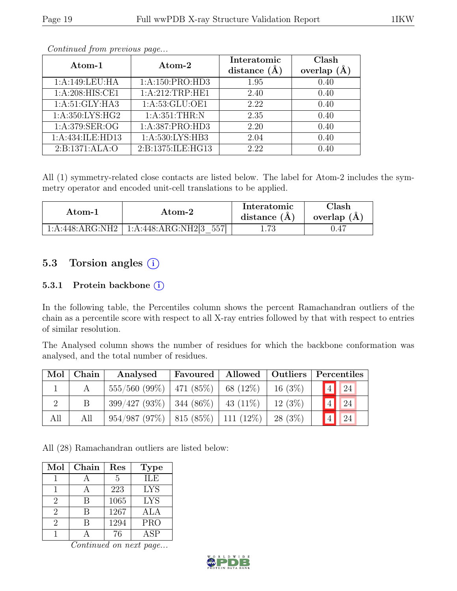| Atom-1           | Atom-2             | Interatomic         | Clash   |
|------------------|--------------------|---------------------|---------|
|                  |                    | distance<br>$(\AA)$ | overlap |
| 1:A:149:LEU:HA   | 1:A:150:PRO:HD3    | 1.95                | 0.40    |
| 1:A:208:HIS:CE1  | 1:A:212:TRP:HE1    | 2.40                | 0.40    |
| 1:A:51:GLY:HA3   | 1:A:53:GLU:OE1     | 2.22                | 0.40    |
| 1:A:350:LYS:HG2  | 1: A:351:THR:N     | 2.35                | 0.40    |
| 1:A:379:SER:OG   | 1:A:387:PRO:HD3    | 2.20                | 0.40    |
| 1:A:434:ILE:HD13 | 1: A:530: LYS: HB3 | 2.04                | 0.40    |
| 2:B:1371:ALA:O   | 2:B:1375:ILE:HG13  | 2.22                | 0.40    |

All (1) symmetry-related close contacts are listed below. The label for Atom-2 includes the symmetry operator and encoded unit-cell translations to be applied.

| Atom-1          | Atom-2                    | Interatomic<br>distance $(A)$ | <b>Clash</b><br>overlap $(A)$ |
|-----------------|---------------------------|-------------------------------|-------------------------------|
| 1:A:448:ARG:NH2 | 1:A:448:ARG:NH2[3]<br>557 | 1.73                          |                               |

### 5.3 Torsion angles (i)

#### 5.3.1 Protein backbone (i)

In the following table, the Percentiles column shows the percent Ramachandran outliers of the chain as a percentile score with respect to all X-ray entries followed by that with respect to entries of similar resolution.

The Analysed column shows the number of residues for which the backbone conformation was analysed, and the total number of residues.

| Mol | ${\bf Chain}$ | Analysed                                   | Favoured | Allowed   Outliers |           |                 | Percentiles    |  |
|-----|---------------|--------------------------------------------|----------|--------------------|-----------|-----------------|----------------|--|
|     | A             | $555/560$ (99%)   471 (85%)   68 (12%)     |          |                    | 16(3%)    |                 | $\boxed{4}$ 24 |  |
|     |               | $399/427 (93\%)$ 344 (86\%) 43 (11\%)      |          |                    | $12(3\%)$ | $\sqrt{4}$      | $\boxed{24}$   |  |
| All | All           | $954/987 (97\%)$   815 (85\%)   111 (12\%) |          |                    | 28 (3\%)  | $\vert 4 \vert$ | 24             |  |

All (28) Ramachandran outliers are listed below:

| Mol                         | Chain | Res  | <b>Type</b>      |
|-----------------------------|-------|------|------------------|
|                             |       | 5    | <b>ILE</b>       |
|                             |       | 223  | <b>LYS</b>       |
| $\overline{2}$              | B     | 1065 | <b>LYS</b>       |
| $\overline{2}$              | B     | 1267 | ALA              |
| $\mathcal{D}_{\mathcal{L}}$ | R     | 1294 | <b>PRO</b>       |
|                             |       | 76   | $\overline{ASP}$ |

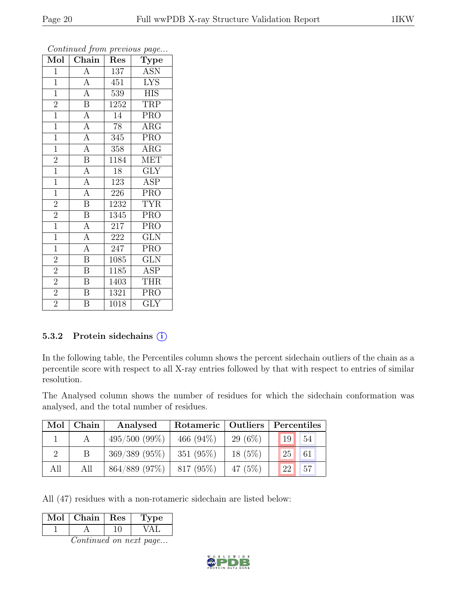| Mol            | Chain                   | Res     | <b>Type</b>               |
|----------------|-------------------------|---------|---------------------------|
| $\mathbf{1}$   | $\overline{A}$          | 137     | <b>ASN</b>                |
| $\mathbf{1}$   | $\overline{A}$          | 451     | <b>LYS</b>                |
| $\overline{1}$ | $\overline{A}$          | 539     | <b>HIS</b>                |
| $\overline{2}$ | $\overline{\mathbf{B}}$ | 1252    | <b>TRP</b>                |
| $\overline{1}$ | $\overline{A}$          | 14      | <b>PRO</b>                |
| $\overline{1}$ | $\overline{A}$          | 78      | ARG                       |
| $\overline{1}$ | $\overline{A}$          | 345     | <b>PRO</b>                |
| $\overline{1}$ | $\overline{\mathbf{A}}$ | 358     | $\overline{\text{ARG}}$   |
| $\overline{2}$ | $\overline{\mathbf{B}}$ | 1184    | <b>MET</b>                |
| $\overline{1}$ | $\overline{A}$          | 18      | $\overline{\mathrm{GLY}}$ |
| $\mathbf{1}$   | $\overline{A}$          | 123     | <b>ASP</b>                |
| $\overline{1}$ | $\overline{A}$          | 226     | PRO                       |
| $\overline{2}$ | $\overline{\mathbf{B}}$ | 1232    | <b>TYR</b>                |
| $\overline{2}$ | $\overline{B}$          | 1345    | <b>PRO</b>                |
| $\overline{1}$ | $\overline{A}$          | 217     | PRO                       |
| $\overline{1}$ | $\overline{A}$          | $222\,$ | <b>GLN</b>                |
| $\overline{1}$ | $\overline{A}$          | 247     | <b>PRO</b>                |
| $\overline{2}$ | $\boldsymbol{B}$        | 1085    | <b>GLN</b>                |
| $\overline{2}$ | $\overline{\mathrm{B}}$ | 1185    | <b>ASP</b>                |
| $\overline{2}$ | $\overline{\mathbf{B}}$ | 1403    | <b>THR</b>                |
| $\overline{2}$ | $\boldsymbol{B}$        | 1321    | <b>PRO</b>                |
| $\overline{2}$ | $\overline{\mathrm{B}}$ | 1018    | <b>GLY</b>                |

#### 5.3.2 Protein sidechains (i)

In the following table, the Percentiles column shows the percent sidechain outliers of the chain as a percentile score with respect to all X-ray entries followed by that with respect to entries of similar resolution.

The Analysed column shows the number of residues for which the sidechain conformation was analysed, and the total number of residues.

| Mol | Chain | Analysed        | Rotameric   Outliers |           | Percentiles           |  |  |
|-----|-------|-----------------|----------------------|-----------|-----------------------|--|--|
|     |       | $495/500(99\%)$ | 466 $(94\%)$         | $29(6\%)$ | 54<br>19              |  |  |
|     |       | $369/389$ (95%) | 351 $(95\%)$         | $18(5\%)$ | 61<br>25 <sup>2</sup> |  |  |
| All | All   | 864/889 (97%)   | 817 (95%)            | 47 $(5%)$ | 157<br>22             |  |  |

All (47) residues with a non-rotameric sidechain are listed below:

| lol | Chain | Res | 'pe |
|-----|-------|-----|-----|
|     |       |     |     |

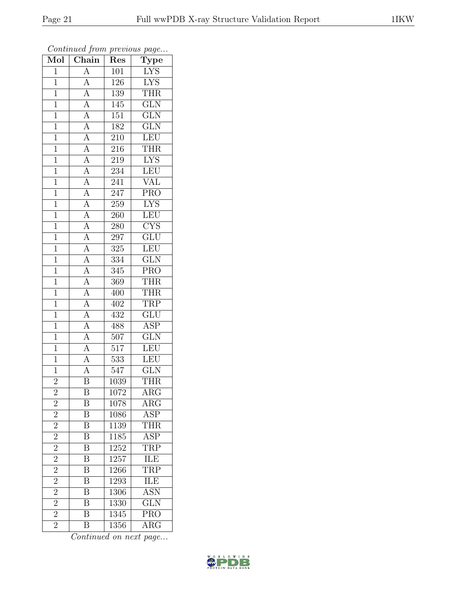| $\overline{\text{Mol}}$ | contenuou prom procto do pago<br>Chain |                         | $\mathrm{\bar{Type}}$   |
|-------------------------|----------------------------------------|-------------------------|-------------------------|
| $\overline{1}$          | $\overline{A}$                         | Res<br>$\overline{101}$ | <b>LYS</b>              |
| $\overline{1}$          | $\overline{A}$                         | 126                     | <b>LYS</b>              |
| $\overline{1}$          | $\overline{A}$                         | 139                     | <b>THR</b>              |
| $\mathbf{1}$            |                                        | 145                     | GLN                     |
| $\overline{1}$          | $\frac{\overline{A}}{\overline{A}}$    | 151                     | $\overline{\text{GLN}}$ |
| $\mathbf{1}$            | $\overline{A}$                         | 182                     | GLN                     |
| $\overline{1}$          | $\overline{A}$                         | 210                     | LEU                     |
| $\mathbf{1}$            |                                        | 216                     | <b>THR</b>              |
| $\mathbf{1}$            |                                        | 219                     | <b>LYS</b>              |
| $\overline{1}$          | $\frac{\overline{A}}{\overline{A}}$    | 234                     | LEU                     |
| $\mathbf{1}$            | $\overline{A}$                         | 241                     | VAL                     |
| $\overline{1}$          | $\overline{A}$                         | $\overline{247}$        | $\overline{\text{PRO}}$ |
| $\overline{1}$          |                                        | 259                     | <b>LYS</b>              |
| $\mathbf 1$             | $\frac{A}{A}$                          | 260                     | LEU                     |
| $\mathbf{1}$            | $\overline{A}$                         | 280                     | CYS                     |
| $\overline{1}$          | $\overline{A}$                         | 297                     | $\overline{\text{GLU}}$ |
| $\overline{1}$          |                                        | $\overline{325}$        | LEU                     |
| $\mathbf{1}$            | $\frac{\overline{A}}{\overline{A}}$    | 334                     | <b>GLN</b>              |
| $\mathbf{1}$            | $\frac{\overline{A}}{\overline{A}}$    | 345                     | <b>PRO</b>              |
| $\mathbf{1}$            |                                        | $\overline{369}$        | <b>THR</b>              |
| $\mathbf{1}$            | $\frac{\overline{A}}{\overline{A}}$    | 400                     | <b>THR</b>              |
| $\overline{1}$          |                                        | 402                     | <b>TRP</b>              |
| $\mathbf{1}$            | $\frac{\overline{A}}{\overline{A}}$    | 432                     | GLU                     |
| $\mathbf{1}$            |                                        | 488                     | $\overline{\text{ASP}}$ |
| $\mathbf{1}$            | $\overline{A}$                         | 507                     | $\overline{\text{GLN}}$ |
| $\overline{1}$          | $\overline{A}$                         | 517                     | LEU                     |
| $\mathbf{1}$            |                                        | 533                     | <b>LEU</b>              |
| $\mathbf{1}$            | $\frac{\overline{A}}{\overline{A}}$    | 547                     | $\overline{\text{GLN}}$ |
| $\bar{2}$               | $\overline{\mathrm{B}}$                | 1039                    | <b>THR</b>              |
| $\overline{c}$          | Β                                      | 1072                    | ARG                     |
| $\overline{2}$          | $\overline{\mathrm{B}}$                | 1078                    | ARG                     |
| $\overline{2}$          | B                                      | 1086                    | ASP                     |
| $\overline{2}$          | $\overline{\mathrm{B}}$                | 1139                    | <b>THR</b>              |
| $\overline{2}$          | $\overline{\mathrm{B}}$                | 1185                    | $\overline{\text{ASP}}$ |
| $\overline{2}$          | Β                                      | 1252                    | TRP                     |
| $\frac{2}{2}$           | $\overline{\mathrm{B}}$                | 1257                    | ILE                     |
|                         | $\overline{\mathrm{B}}$                | 1266                    | <b>TRP</b>              |
| $\frac{2}{2}$           | $\overline{\mathrm{B}}$                | 1293                    | <b>ILE</b>              |
|                         | $\overline{\mathrm{B}}$                | 1306                    | <b>ASN</b>              |
| $\overline{2}$          | $\overline{\mathrm{B}}$                | 1330                    | $\overline{\text{GLN}}$ |
| $\overline{2}$          | $\overline{\mathrm{B}}$                | 1345                    | $\overline{\text{PRO}}$ |
| $\overline{2}$          | B                                      | 1356                    | $\rm{ARG}$              |

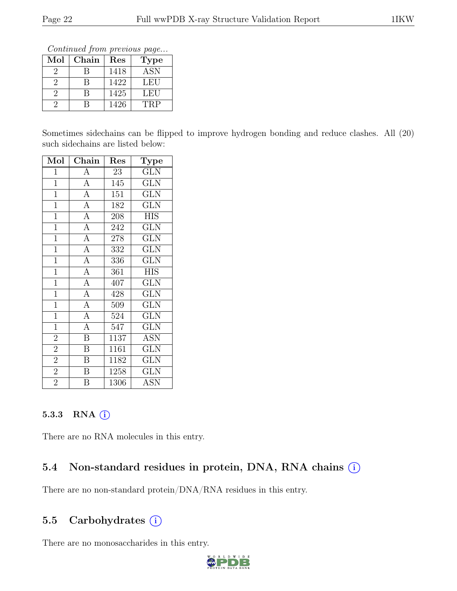Continued from previous page...

| Mol | Chain | Res  | <b>Type</b> |
|-----|-------|------|-------------|
|     |       | 1418 | <b>ASN</b>  |
|     | R     | 1422 | LEU         |
|     |       | 1425 | LEU         |
|     |       | 1426 | TRP         |

Sometimes sidechains can be flipped to improve hydrogen bonding and reduce clashes. All (20) such sidechains are listed below:

| Mol            | $\overline{\text{Chain}}$ | Res  | ${\rm \bar{Type}}$        |
|----------------|---------------------------|------|---------------------------|
| $\mathbf{1}$   | $\boldsymbol{A}$          | 23   | GLN                       |
| $\overline{1}$ | $\overline{A}$            | 145  | <b>GLN</b>                |
| $\overline{1}$ | $\overline{A}$            | 151  | $\overline{\text{GLN}}$   |
| $\overline{1}$ | $\overline{A}$            | 182  | <b>GLN</b>                |
| $\overline{1}$ | $\overline{A}$            | 208  | $\overline{HIS}$          |
| $\overline{1}$ | $\overline{A}$            | 242  | <b>GLN</b>                |
| $\overline{1}$ | $\overline{A}$            | 278  | <b>GLN</b>                |
| $\mathbf{1}$   | $\overline{A}$            | 332  | <b>GLN</b>                |
| $\overline{1}$ | $\overline{A}$            | 336  | <b>GLN</b>                |
| $\overline{1}$ | $\overline{A}$            | 361  | <b>HIS</b>                |
| $\overline{1}$ | $\overline{A}$            | 407  | <b>GLN</b>                |
| $\mathbf{1}$   | $\overline{A}$            | 428  | <b>GLN</b>                |
| $\overline{1}$ | $\overline{A}$            | 509  | GLN                       |
| $\overline{1}$ | $\overline{A}$            | 524  | GLN                       |
| $\overline{1}$ | $\overline{A}$            | 547  | <b>GLN</b>                |
| $\overline{2}$ | $\overline{\mathbf{B}}$   | 1137 | <b>ASN</b>                |
| $\overline{2}$ | $\overline{\mathrm{B}}$   | 1161 | <b>GLN</b>                |
| $\overline{2}$ | $\overline{\mathrm{B}}$   | 1182 | $\overline{\text{GLN}}$   |
| $\overline{2}$ | $\boldsymbol{B}$          | 1258 | <b>GLN</b>                |
| $\overline{2}$ | $\overline{\mathrm{B}}$   | 1306 | $\overline{\mathrm{ASN}}$ |

#### 5.3.3 RNA  $(i)$

There are no RNA molecules in this entry.

### 5.4 Non-standard residues in protein, DNA, RNA chains  $(i)$

There are no non-standard protein/DNA/RNA residues in this entry.

### 5.5 Carbohydrates  $(i)$

There are no monosaccharides in this entry.

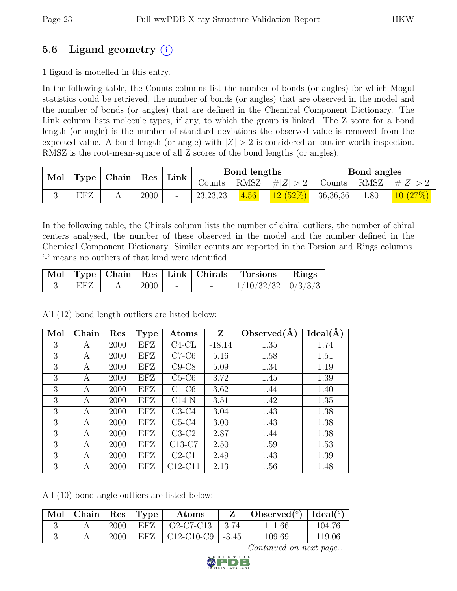# 5.6 Ligand geometry  $(i)$

1 ligand is modelled in this entry.

In the following table, the Counts columns list the number of bonds (or angles) for which Mogul statistics could be retrieved, the number of bonds (or angles) that are observed in the model and the number of bonds (or angles) that are defined in the Chemical Component Dictionary. The Link column lists molecule types, if any, to which the group is linked. The Z score for a bond length (or angle) is the number of standard deviations the observed value is removed from the expected value. A bond length (or angle) with  $|Z| > 2$  is considered an outlier worth inspection. RMSZ is the root-mean-square of all Z scores of the bond lengths (or angles).

| Mol | Type | Chain | Res  | Link                         |            | Bond lengths |         |          | Bond angles |               |
|-----|------|-------|------|------------------------------|------------|--------------|---------|----------|-------------|---------------|
|     |      |       |      |                              | Counts     | RMSZ         | Z       | Counts   | RMSZ        | $Z\vert$<br># |
|     | EFZ  |       | 2000 | $\qquad \qquad \blacksquare$ | 23, 23, 23 | 4.56         | 12(52%) | 36,36,36 | 08.1        | $10\,$        |

In the following table, the Chirals column lists the number of chiral outliers, the number of chiral centers analysed, the number of these observed in the model and the number defined in the Chemical Component Dictionary. Similar counts are reported in the Torsion and Rings columns. '-' means no outliers of that kind were identified.

|     |      |        | Mol   Type   Chain   Res   Link   Chirals   Torsions   Rings |  |
|-----|------|--------|--------------------------------------------------------------|--|
| EFZ | 2000 | $\sim$ | $1/10/32/32$   $0/3/3/3$                                     |  |

All (12) bond length outliers are listed below:

| Mol | Chain | $\operatorname{Res}% \left( \mathcal{N}\right) \equiv\operatorname{Res}(\mathcal{N}_{0})\left( \mathcal{N}_{0}\right) ^{\ast}$ | <b>Type</b> | Atoms    | Z        | Observed $(A)$ | Ideal(A) |
|-----|-------|--------------------------------------------------------------------------------------------------------------------------------|-------------|----------|----------|----------------|----------|
| 3   | А     | 2000                                                                                                                           | EFZ         | $C4-CL$  | $-18.14$ | 1.35           | 1.74     |
| 3   | А     | 2000                                                                                                                           | EFZ         | $C7-C6$  | 5.16     | 1.58           | 1.51     |
| 3   | А     | 2000                                                                                                                           | EFZ         | $C9-C8$  | 5.09     | 1.34           | 1.19     |
| 3   | А     | 2000                                                                                                                           | EFZ         | $C5-C6$  | 3.72     | 1.45           | 1.39     |
| 3   | А     | 2000                                                                                                                           | EFZ         | $C1-C6$  | 3.62     | 1.44           | 1.40     |
| 3   | А     | 2000                                                                                                                           | EFZ         | $C14-N$  | 3.51     | 1.42           | 1.35     |
| 3   | А     | 2000                                                                                                                           | EFZ         | $C3-C4$  | 3.04     | 1.43           | 1.38     |
| 3   | А     | 2000                                                                                                                           | EFZ         | $C5-C4$  | 3.00     | 1.43           | 1.38     |
| 3   | А     | 2000                                                                                                                           | EFZ         | $C3-C2$  | 2.87     | 1.44           | 1.38     |
| 3   | А     | 2000                                                                                                                           | EFZ         | $C13-C7$ | 2.50     | 1.59           | 1.53     |
| 3   | А     | 2000                                                                                                                           | EFZ         | $C2-C1$  | 2.49     | 1.43           | 1.39     |
| 3   | А     | 2000                                                                                                                           | EFZ         | C12-C11  | 2.13     | 1.56           | 1.48     |

All (10) bond angle outliers are listed below:

| Mol | Chain |      | Res Type | Atoms             |         | Observed $(^\circ)$ | Ideal $(°)$ |
|-----|-------|------|----------|-------------------|---------|---------------------|-------------|
|     |       | 2000 | EFZ.     | O2-C7-C13         | - 3.74  | 111.66              | 104.76      |
|     |       | 2000 | EFZ      | $\mid$ C12-C10-C9 | $-3.45$ | 109.69              | 119.06      |

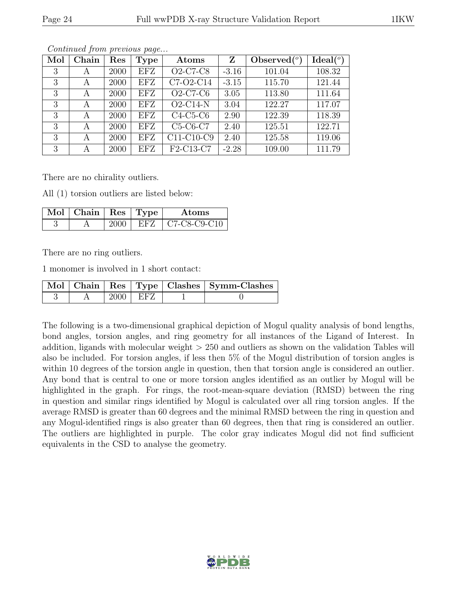| Mol | Chain | Res  | <b>Type</b> | Atoms           | Z       | Observed $(°)$ | Ideal $(°)$ |
|-----|-------|------|-------------|-----------------|---------|----------------|-------------|
| 3   | А     | 2000 | EFZ         | <b>O2-C7-C8</b> | $-3.16$ | 101.04         | 108.32      |
| 3   | А     | 2000 | <b>EFZ</b>  | C7-O2-C14       | $-3.15$ | 115.70         | 121.44      |
| 3   | A     | 2000 | EFZ         | $O2-C7-C6$      | 3.05    | 113.80         | 111.64      |
| 3   | А     | 2000 | EFZ         | $O2$ -C14-N     | 3.04    | 122.27         | 117.07      |
| 3   | А     | 2000 | EFZ         | $C4-C5-C6$      | 2.90    | 122.39         | 118.39      |
| 3   | A     | 2000 | EFZ         | $C5-C6-C7$      | 2.40    | 125.51         | 122.71      |
| 3   | А     | 2000 | <b>EFZ</b>  | C11-C10-C9      | 2.40    | 125.58         | 119.06      |
| 3   | А     | 2000 | EFZ         | F2-C13-C7       | $-2.28$ | 109.00         | 111.79      |

There are no chirality outliers.

All (1) torsion outliers are listed below:

| $\text{Mol}$   Chain   Res   Type |     | Atoms              |
|-----------------------------------|-----|--------------------|
|                                   | EFT | $\pm$ C7-C8-C9-C10 |

There are no ring outliers.

1 monomer is involved in 1 short contact:

|  |            | Mol   Chain   Res   Type   Clashes   Symm-Clashes |
|--|------------|---------------------------------------------------|
|  | $2000$ EFZ |                                                   |

The following is a two-dimensional graphical depiction of Mogul quality analysis of bond lengths, bond angles, torsion angles, and ring geometry for all instances of the Ligand of Interest. In addition, ligands with molecular weight > 250 and outliers as shown on the validation Tables will also be included. For torsion angles, if less then 5% of the Mogul distribution of torsion angles is within 10 degrees of the torsion angle in question, then that torsion angle is considered an outlier. Any bond that is central to one or more torsion angles identified as an outlier by Mogul will be highlighted in the graph. For rings, the root-mean-square deviation (RMSD) between the ring in question and similar rings identified by Mogul is calculated over all ring torsion angles. If the average RMSD is greater than 60 degrees and the minimal RMSD between the ring in question and any Mogul-identified rings is also greater than 60 degrees, then that ring is considered an outlier. The outliers are highlighted in purple. The color gray indicates Mogul did not find sufficient equivalents in the CSD to analyse the geometry.

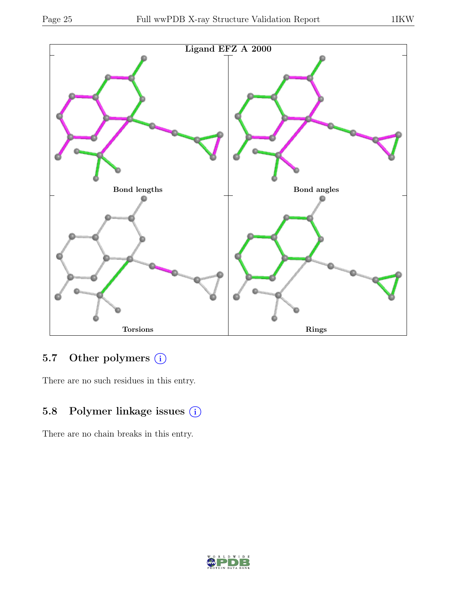



## 5.7 Other polymers (i)

There are no such residues in this entry.

# 5.8 Polymer linkage issues (i)

There are no chain breaks in this entry.

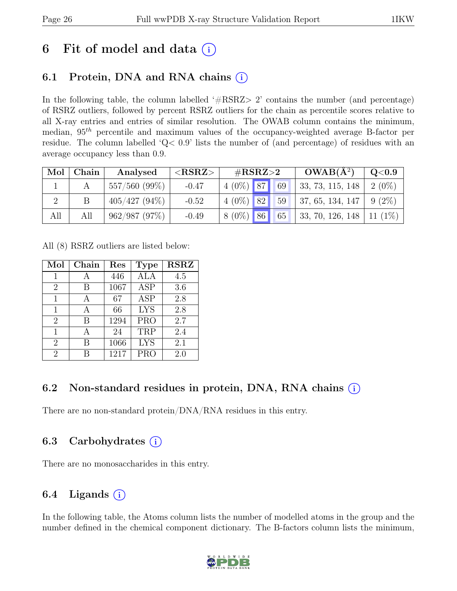# 6 Fit of model and data  $(i)$

# 6.1 Protein, DNA and RNA chains  $(i)$

In the following table, the column labelled  $#RSRZ>2$  contains the number (and percentage) of RSRZ outliers, followed by percent RSRZ outliers for the chain as percentile scores relative to all X-ray entries and entries of similar resolution. The OWAB column contains the minimum, median,  $95<sup>th</sup>$  percentile and maximum values of the occupancy-weighted average B-factor per residue. The column labelled 'Q< 0.9' lists the number of (and percentage) of residues with an average occupancy less than 0.9.

| Mol | Chain | Analysed           | ${ <\hspace{-1.5pt}{\mathrm{RSRZ}}\hspace{-1.5pt}>}$ | $\#\text{RSRZ}\!\!>\!\!2$ |  |    | $OWAB(A^2)$                | Q <sub>0.9</sub> |
|-----|-------|--------------------|------------------------------------------------------|---------------------------|--|----|----------------------------|------------------|
|     |       | $557/560$ $(99\%)$ | $-0.47$                                              | $4(0\%)$ 87               |  | 69 | , 33, 73, 115, 148         | $2(0\%)$         |
|     |       | $405/427(94\%)$    | $-0.52$                                              | $4(0\%)$ 82               |  | 59 | 37, 65, 134, 147           | $9(2\%)$         |
| All | All   | 962/987(97%)       | $-0.49$                                              | $8(0\%)$ 86               |  | 65 | 33, 70, 126, 148   11 (1%) |                  |

All (8) RSRZ outliers are listed below:

| Mol            | Chain | Res  | <b>Type</b> | <b>RSRZ</b> |
|----------------|-------|------|-------------|-------------|
| 1              |       | 446  | ALA         | 4.5         |
| $\overline{2}$ | В     | 1067 | <b>ASP</b>  | 3.6         |
| 1              |       | 67   | <b>ASP</b>  | 2.8         |
| 1              | A     | 66   | <b>LYS</b>  | 2.8         |
| $\overline{2}$ | В     | 1294 | <b>PRO</b>  | 2.7         |
| 1              | А     | 24   | TRP         | 2.4         |
| $\overline{2}$ | R     | 1066 | <b>LYS</b>  | 2.1         |
| 2              |       | 1217 | <b>PRO</b>  | 2.0         |

### 6.2 Non-standard residues in protein, DNA, RNA chains (i)

There are no non-standard protein/DNA/RNA residues in this entry.

### 6.3 Carbohydrates (i)

There are no monosaccharides in this entry.

### 6.4 Ligands  $(i)$

In the following table, the Atoms column lists the number of modelled atoms in the group and the number defined in the chemical component dictionary. The B-factors column lists the minimum,

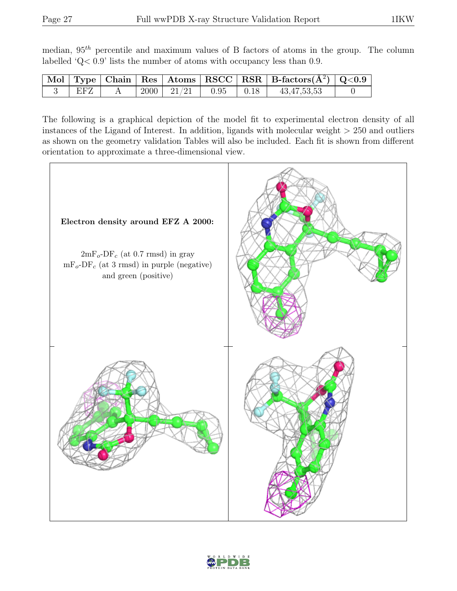median,  $95<sup>th</sup>$  percentile and maximum values of B factors of atoms in the group. The column labelled 'Q< 0.9' lists the number of atoms with occupancy less than 0.9.

|     |  |                         |                  | $\mathbb{N}$ Mol   Type   Chain   Res   Atoms   RSCC   RSR   B-factors $(\AA^2)$   Q<0.9 |  |
|-----|--|-------------------------|------------------|------------------------------------------------------------------------------------------|--|
| EFZ |  | $2000$   $21/21$   0.95 | $\parallel$ 0.18 | 43,47,53,53                                                                              |  |

The following is a graphical depiction of the model fit to experimental electron density of all instances of the Ligand of Interest. In addition, ligands with molecular weight  $> 250$  and outliers as shown on the geometry validation Tables will also be included. Each fit is shown from different orientation to approximate a three-dimensional view.